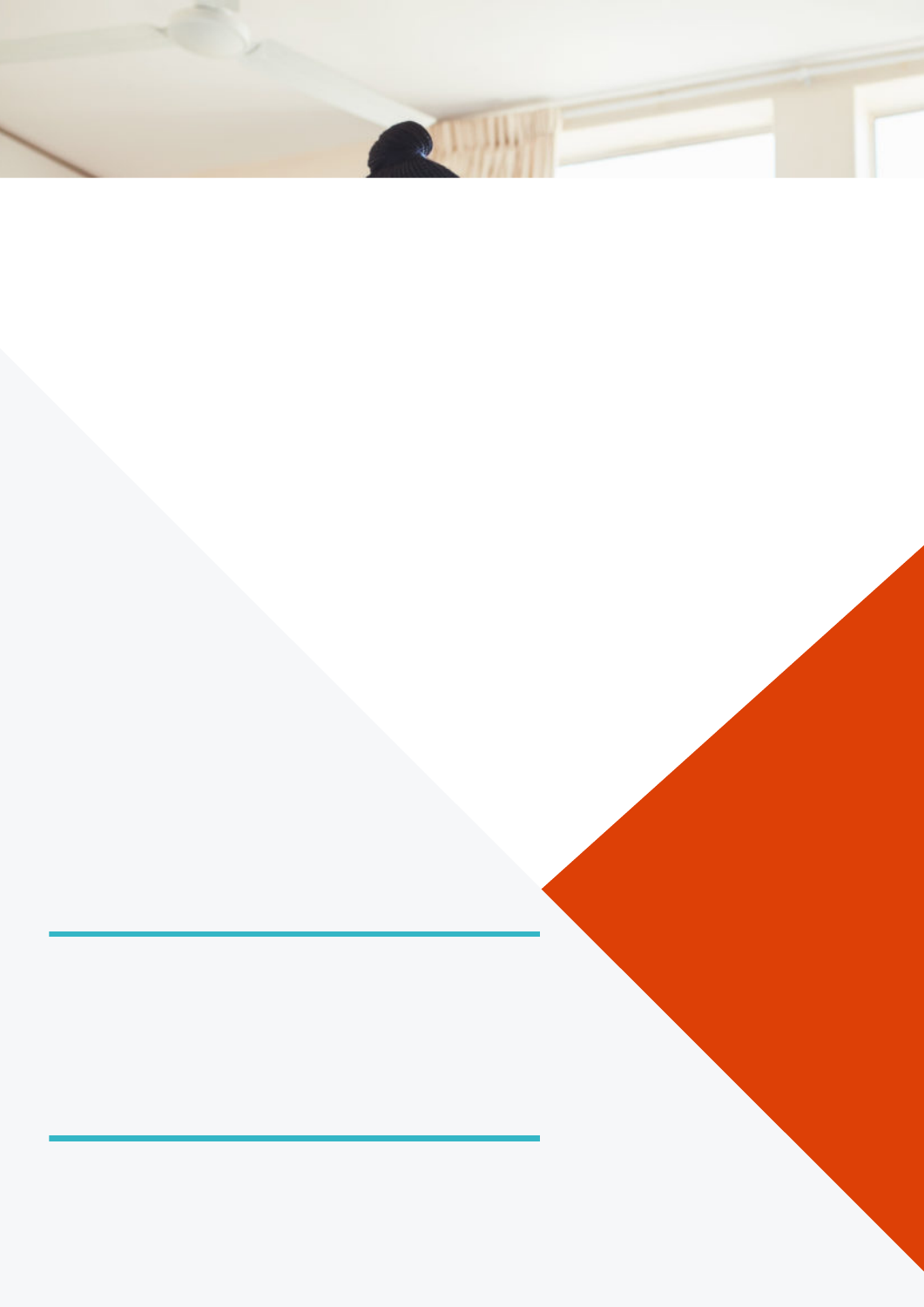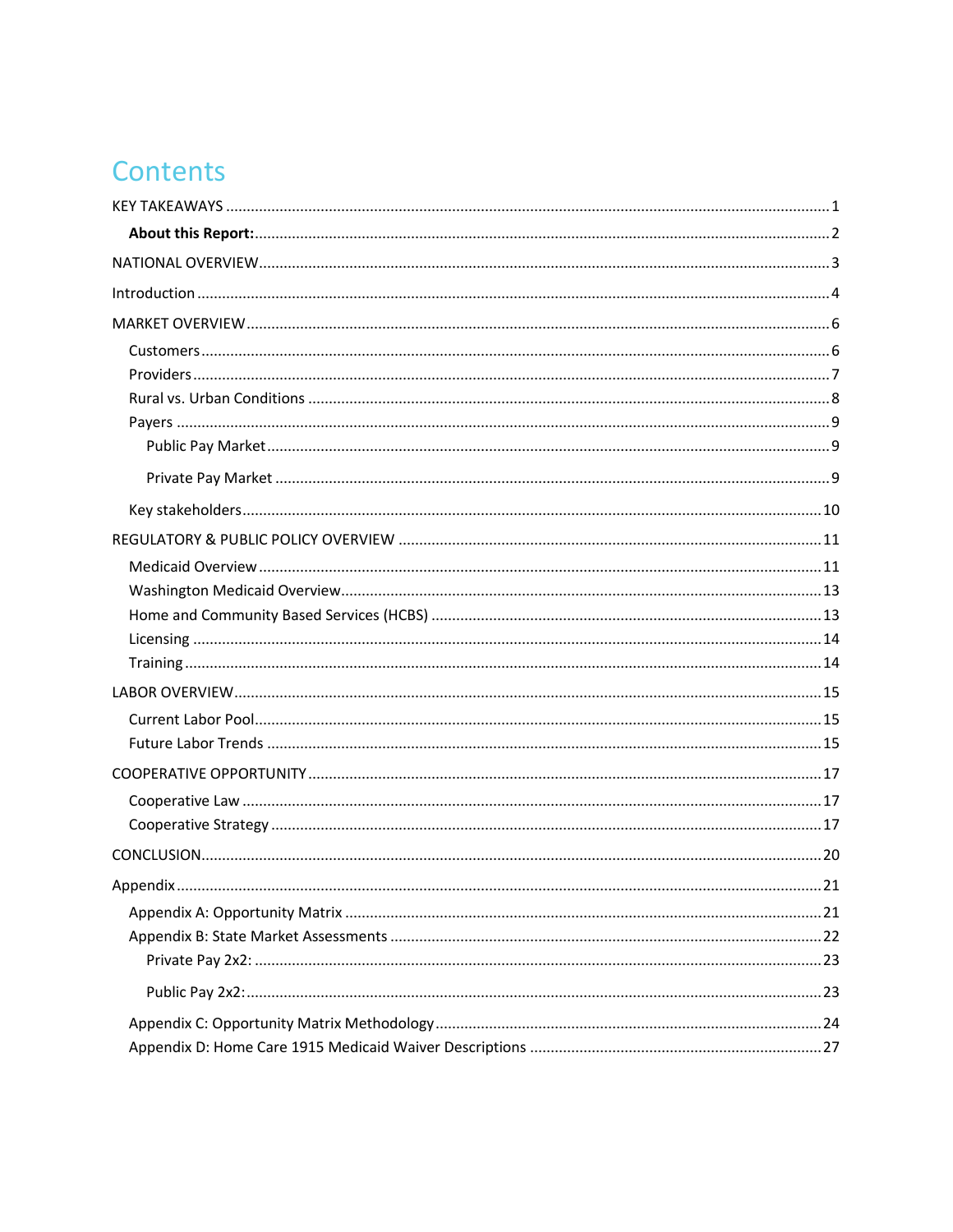# Contents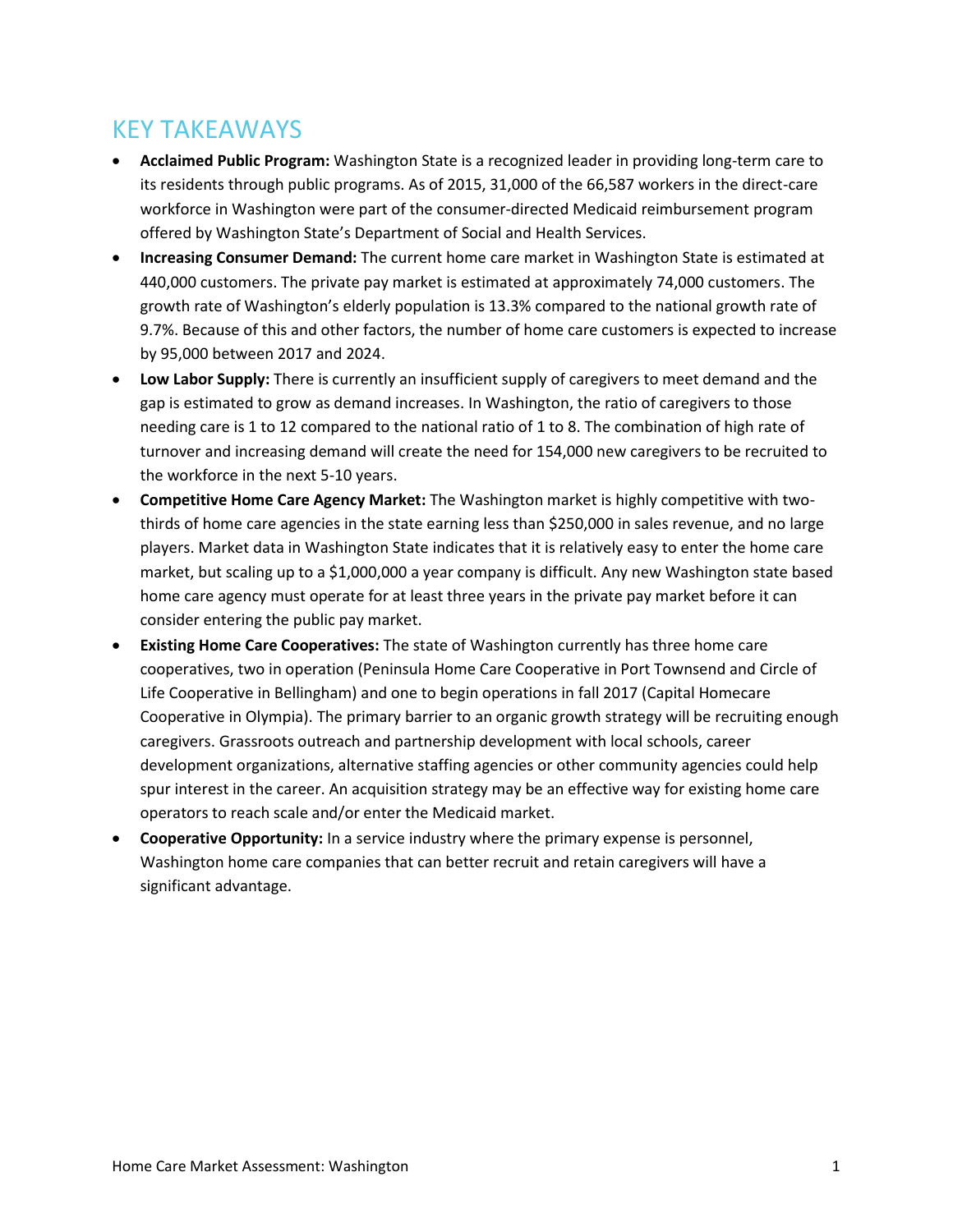# <span id="page-2-0"></span>KEY TAKEAWAYS

- **Acclaimed Public Program:** Washington State is a recognized leader in providing long-term care to its residents through public programs. As of 2015, 31,000 of the 66,587 workers in the direct-care workforce in Washington were part of the consumer-directed Medicaid reimbursement program offered by Washington State's Department of Social and Health Services.
- **Increasing Consumer Demand:** The current home care market in Washington State is estimated at 440,000 customers. The private pay market is estimated at approximately 74,000 customers. The growth rate of Washington's elderly population is 13.3% compared to the national growth rate of 9.7%. Because of this and other factors, the number of home care customers is expected to increase by 95,000 between 2017 and 2024.
- **Low Labor Supply:** There is currently an insufficient supply of caregivers to meet demand and the gap is estimated to grow as demand increases. In Washington, the ratio of caregivers to those needing care is 1 to 12 compared to the national ratio of 1 to 8. The combination of high rate of turnover and increasing demand will create the need for 154,000 new caregivers to be recruited to the workforce in the next 5-10 years.
- **Competitive Home Care Agency Market:** The Washington market is highly competitive with twothirds of home care agencies in the state earning less than \$250,000 in sales revenue, and no large players. Market data in Washington State indicates that it is relatively easy to enter the home care market, but scaling up to a \$1,000,000 a year company is difficult. Any new Washington state based home care agency must operate for at least three years in the private pay market before it can consider entering the public pay market.
- **Existing Home Care Cooperatives:** The state of Washington currently has three home care cooperatives, two in operation (Peninsula Home Care Cooperative in Port Townsend and Circle of Life Cooperative in Bellingham) and one to begin operations in fall 2017 (Capital Homecare Cooperative in Olympia). The primary barrier to an organic growth strategy will be recruiting enough caregivers. Grassroots outreach and partnership development with local schools, career development organizations, alternative staffing agencies or other community agencies could help spur interest in the career. An acquisition strategy may be an effective way for existing home care operators to reach scale and/or enter the Medicaid market.
- **Cooperative Opportunity:** In a service industry where the primary expense is personnel, Washington home care companies that can better recruit and retain caregivers will have a significant advantage.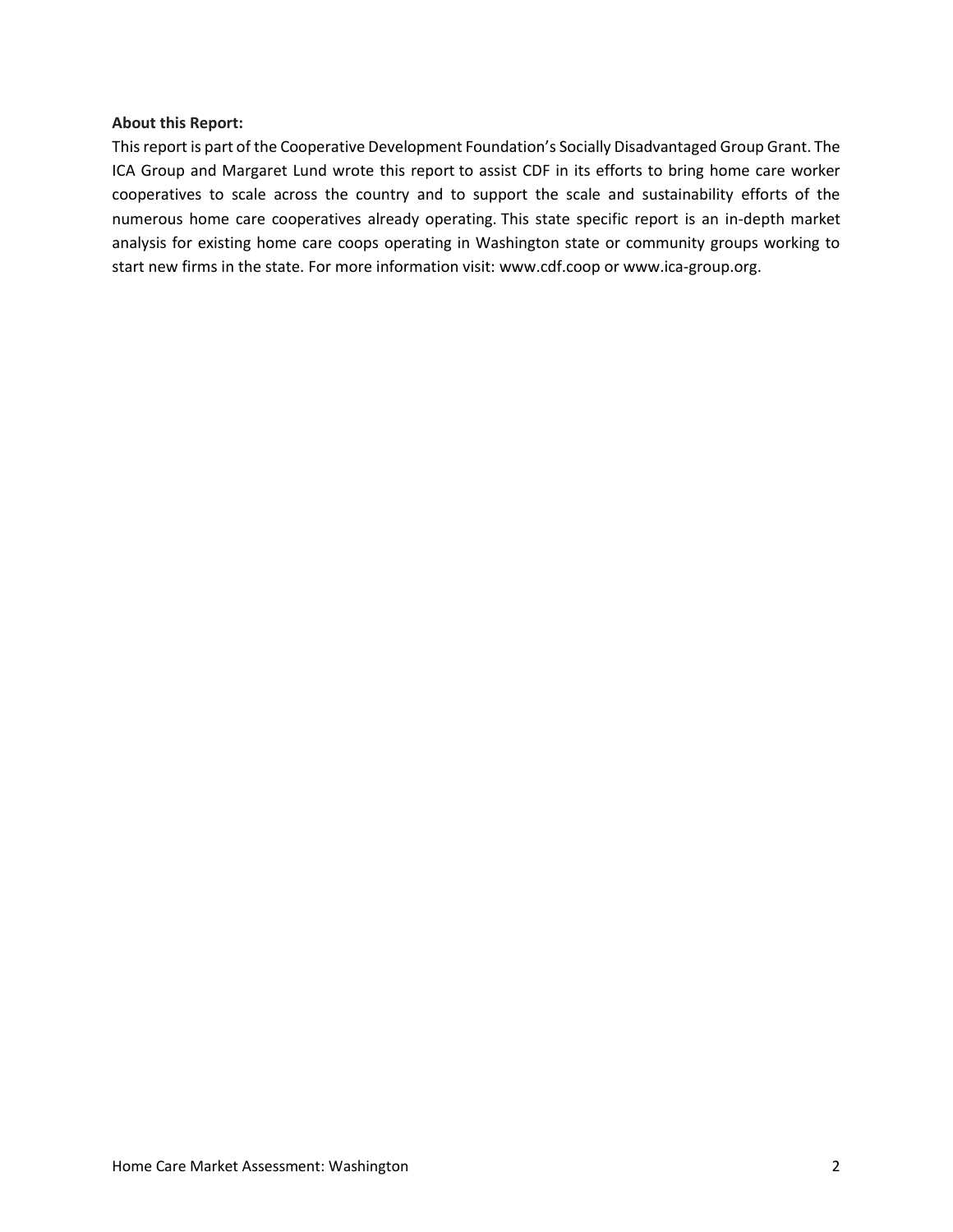#### <span id="page-3-0"></span>**About this Report:**

This report is part of the Cooperative Development Foundation's Socially Disadvantaged Group Grant. The ICA Group and Margaret Lund wrote this report to assist CDF in its efforts to bring home care worker cooperatives to scale across the country and to support the scale and sustainability efforts of the numerous home care cooperatives already operating. This state specific report is an in-depth market analysis for existing home care coops operating in Washington state or community groups working to start new firms in the state. For more information visit: www.cdf.coop or www.ica-group.org.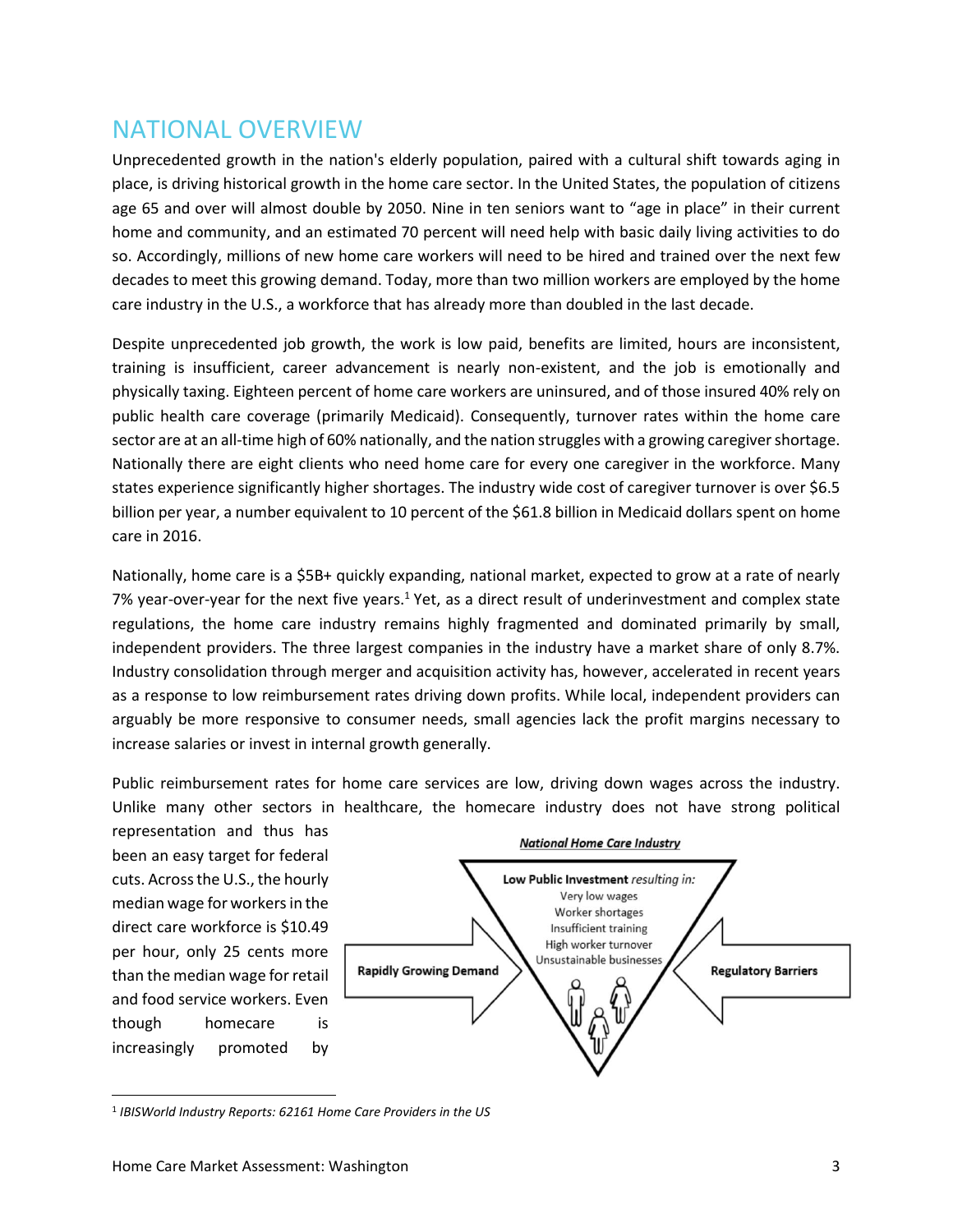## <span id="page-4-0"></span>NATIONAL OVERVIEW

Unprecedented growth in the nation's elderly population, paired with a cultural shift towards aging in place, is driving historical growth in the home care sector. In the United States, the population of citizens age 65 and over will almost double by 2050. Nine in ten seniors want to "age in place" in their current home and community, and an estimated 70 percent will need help with basic daily living activities to do so. Accordingly, millions of new home care workers will need to be hired and trained over the next few decades to meet this growing demand. Today, more than two million workers are employed by the home care industry in the U.S., a workforce that has already more than doubled in the last decade.

Despite unprecedented job growth, the work is low paid, benefits are limited, hours are inconsistent, training is insufficient, career advancement is nearly non-existent, and the job is emotionally and physically taxing. Eighteen percent of home care workers are uninsured, and of those insured 40% rely on public health care coverage (primarily Medicaid). Consequently, turnover rates within the home care sector are at an all-time high of 60% nationally, and the nation struggles with a growing caregiver shortage. Nationally there are eight clients who need home care for every one caregiver in the workforce. Many states experience significantly higher shortages. The industry wide cost of caregiver turnover is over \$6.5 billion per year, a number equivalent to 10 percent of the \$61.8 billion in Medicaid dollars spent on home care in 2016.

Nationally, home care is a \$5B+ quickly expanding, national market, expected to grow at a rate of nearly 7% year-over-year for the next five years.<sup>1</sup> Yet, as a direct result of underinvestment and complex state regulations, the home care industry remains highly fragmented and dominated primarily by small, independent providers. The three largest companies in the industry have a market share of only 8.7%. Industry consolidation through merger and acquisition activity has, however, accelerated in recent years as a response to low reimbursement rates driving down profits. While local, independent providers can arguably be more responsive to consumer needs, small agencies lack the profit margins necessary to increase salaries or invest in internal growth generally.

Public reimbursement rates for home care services are low, driving down wages across the industry. Unlike many other sectors in healthcare, the homecare industry does not have strong political

representation and thus has been an easy target for federal cuts. Across the U.S., the hourly median wage for workers in the direct care workforce is \$10.49 per hour, only 25 cents more than the median wage for retail and food service workers. Even though homecare is increasingly promoted by



<sup>1</sup> *IBISWorld Industry Reports: 62161 Home Care Providers in the US*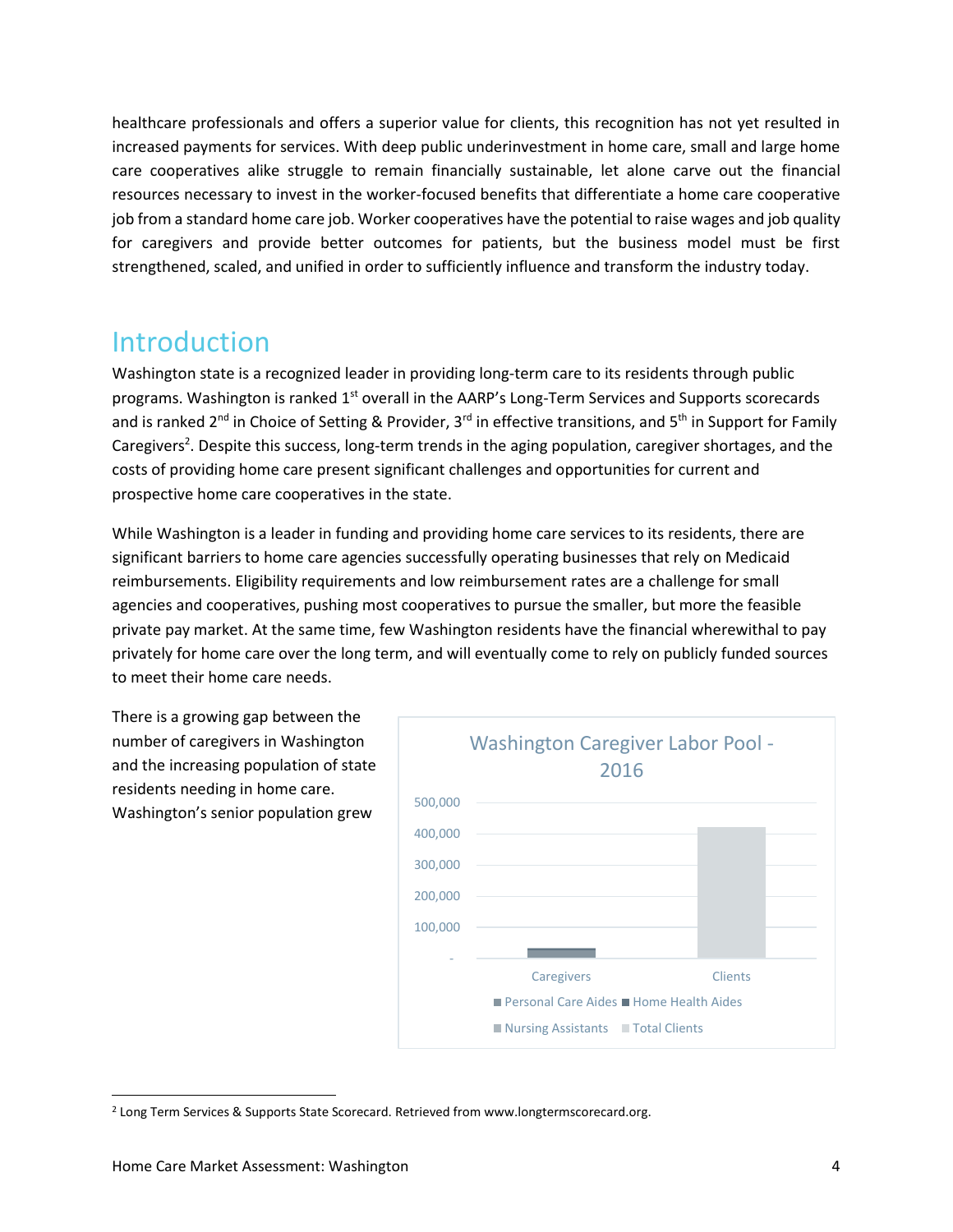healthcare professionals and offers a superior value for clients, this recognition has not yet resulted in increased payments for services. With deep public underinvestment in home care, small and large home care cooperatives alike struggle to remain financially sustainable, let alone carve out the financial resources necessary to invest in the worker-focused benefits that differentiate a home care cooperative job from a standard home care job. Worker cooperatives have the potential to raise wages and job quality for caregivers and provide better outcomes for patients, but the business model must be first strengthened, scaled, and unified in order to sufficiently influence and transform the industry today.

# <span id="page-5-0"></span>Introduction

Washington state is a recognized leader in providing long-term care to its residents through public programs. Washington is ranked  $1<sup>st</sup>$  overall in the AARP's Long-Term Services and Supports scorecards and is ranked 2<sup>nd</sup> in Choice of Setting & Provider, 3<sup>rd</sup> in effective transitions, and 5<sup>th</sup> in Support for Family Caregivers<sup>2</sup>. Despite this success, long-term trends in the aging population, caregiver shortages, and the costs of providing home care present significant challenges and opportunities for current and prospective home care cooperatives in the state.

While Washington is a leader in funding and providing home care services to its residents, there are significant barriers to home care agencies successfully operating businesses that rely on Medicaid reimbursements. Eligibility requirements and low reimbursement rates are a challenge for small agencies and cooperatives, pushing most cooperatives to pursue the smaller, but more the feasible private pay market. At the same time, few Washington residents have the financial wherewithal to pay privately for home care over the long term, and will eventually come to rely on publicly funded sources to meet their home care needs.

There is a growing gap between the number of caregivers in Washington and the increasing population of state residents needing in home care. Washington's senior population grew



<sup>2</sup> Long Term Services & Supports State Scorecard. Retrieved from www.longtermscorecard.org.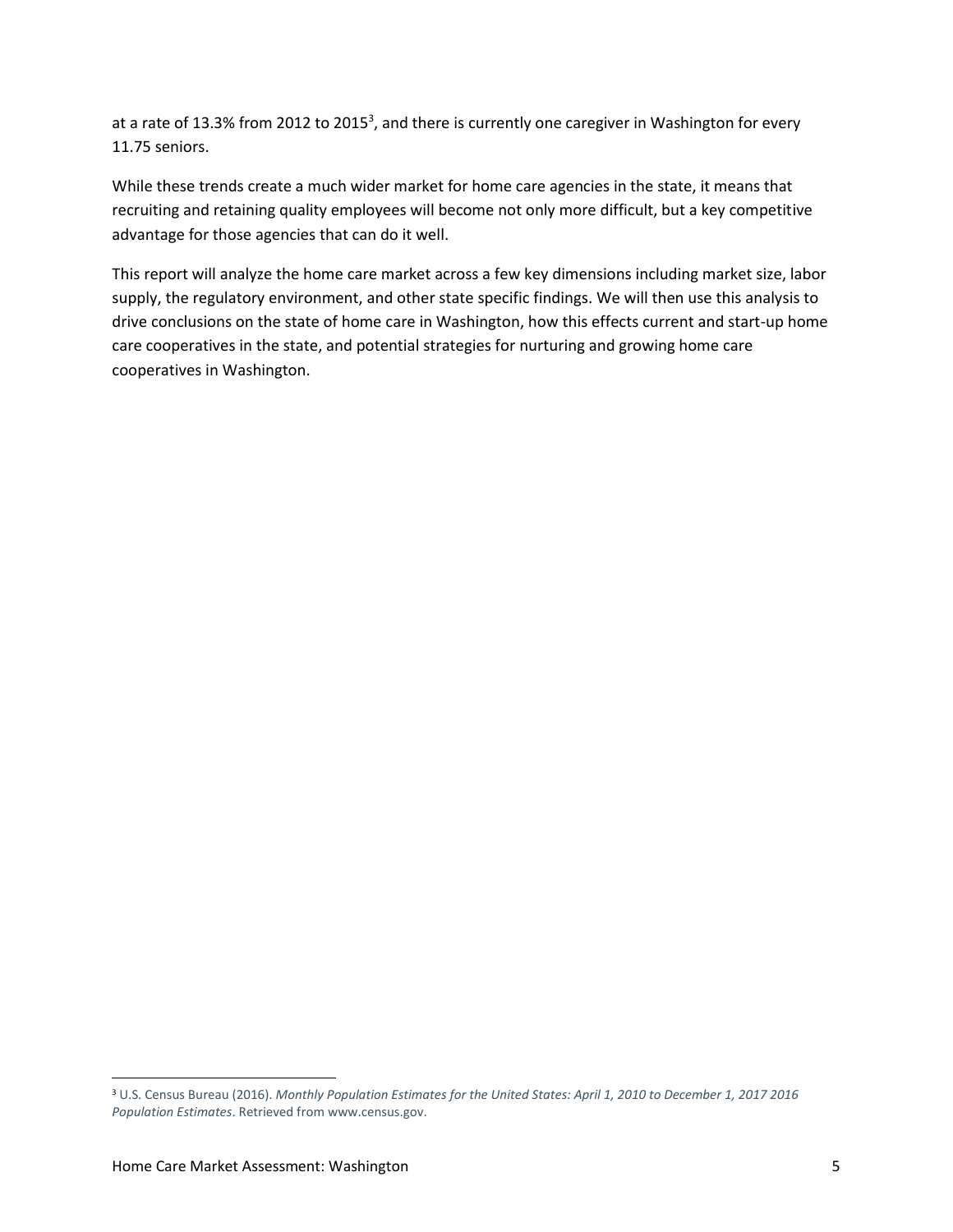at a rate of 13.3% from 2012 to 2015<sup>3</sup>, and there is currently one caregiver in Washington for every 11.75 seniors.

While these trends create a much wider market for home care agencies in the state, it means that recruiting and retaining quality employees will become not only more difficult, but a key competitive advantage for those agencies that can do it well.

This report will analyze the home care market across a few key dimensions including market size, labor supply, the regulatory environment, and other state specific findings. We will then use this analysis to drive conclusions on the state of home care in Washington, how this effects current and start-up home care cooperatives in the state, and potential strategies for nurturing and growing home care cooperatives in Washington.

<sup>3</sup> U.S. Census Bureau (2016). *Monthly Population Estimates for the United States: April 1, 2010 to December 1, 2017 2016 Population Estimates*. Retrieved from www.census.gov.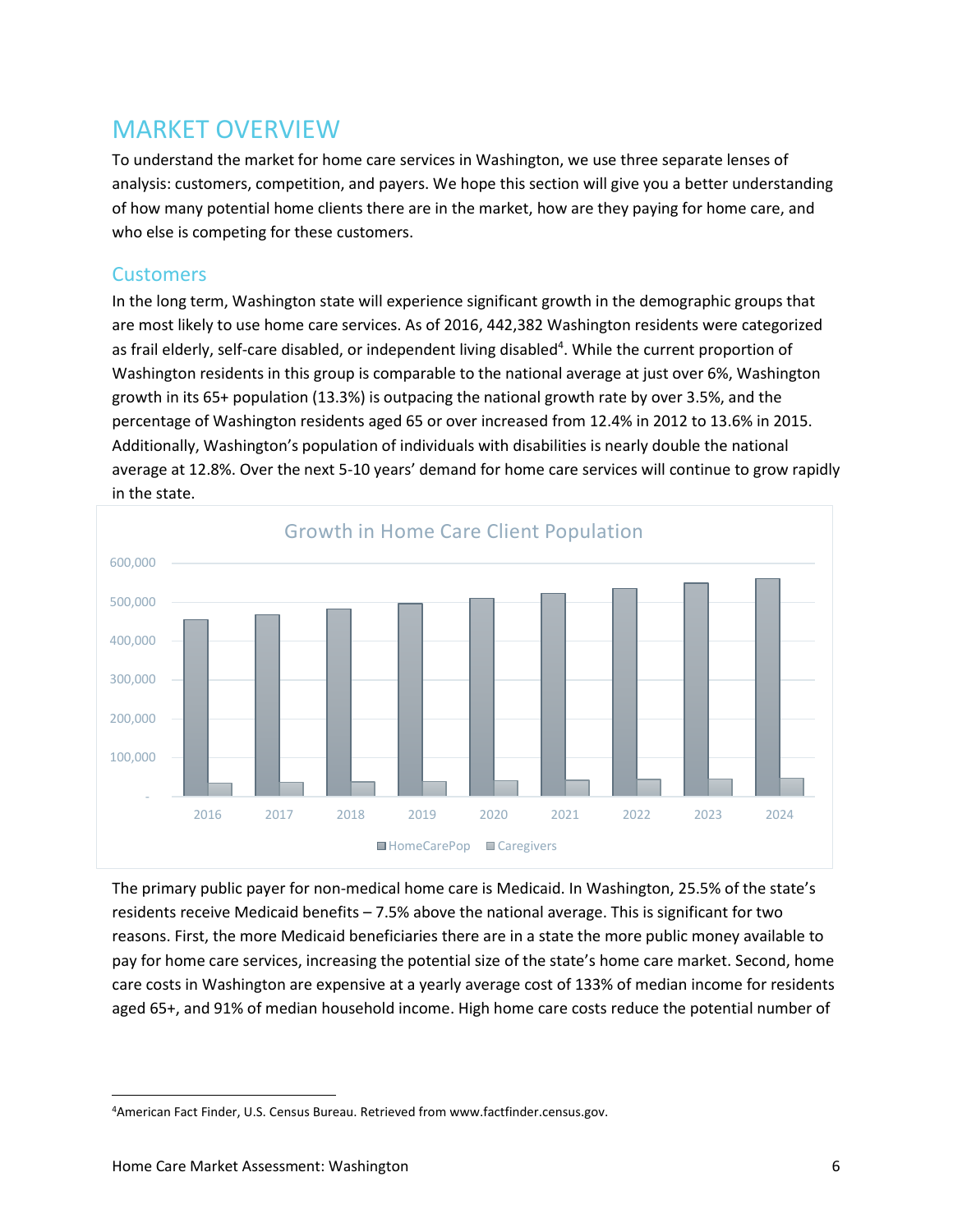## <span id="page-7-0"></span>MARKET OVERVIEW

To understand the market for home care services in Washington, we use three separate lenses of analysis: customers, competition, and payers. We hope this section will give you a better understanding of how many potential home clients there are in the market, how are they paying for home care, and who else is competing for these customers.

### <span id="page-7-1"></span>**Customers**

In the long term, Washington state will experience significant growth in the demographic groups that are most likely to use home care services. As of 2016, 442,382 Washington residents were categorized as frail elderly, self-care disabled, or independent living disabled<sup>4</sup>. While the current proportion of Washington residents in this group is comparable to the national average at just over 6%, Washington growth in its 65+ population (13.3%) is outpacing the national growth rate by over 3.5%, and the percentage of Washington residents aged 65 or over increased from 12.4% in 2012 to 13.6% in 2015. Additionally, Washington's population of individuals with disabilities is nearly double the national average at 12.8%. Over the next 5-10 years' demand for home care services will continue to grow rapidly in the state.



The primary public payer for non-medical home care is Medicaid. In Washington, 25.5% of the state's residents receive Medicaid benefits – 7.5% above the national average. This is significant for two reasons. First, the more Medicaid beneficiaries there are in a state the more public money available to pay for home care services, increasing the potential size of the state's home care market. Second, home care costs in Washington are expensive at a yearly average cost of 133% of median income for residents aged 65+, and 91% of median household income. High home care costs reduce the potential number of

<sup>4</sup>American Fact Finder, U.S. Census Bureau. Retrieved from www.factfinder.census.gov.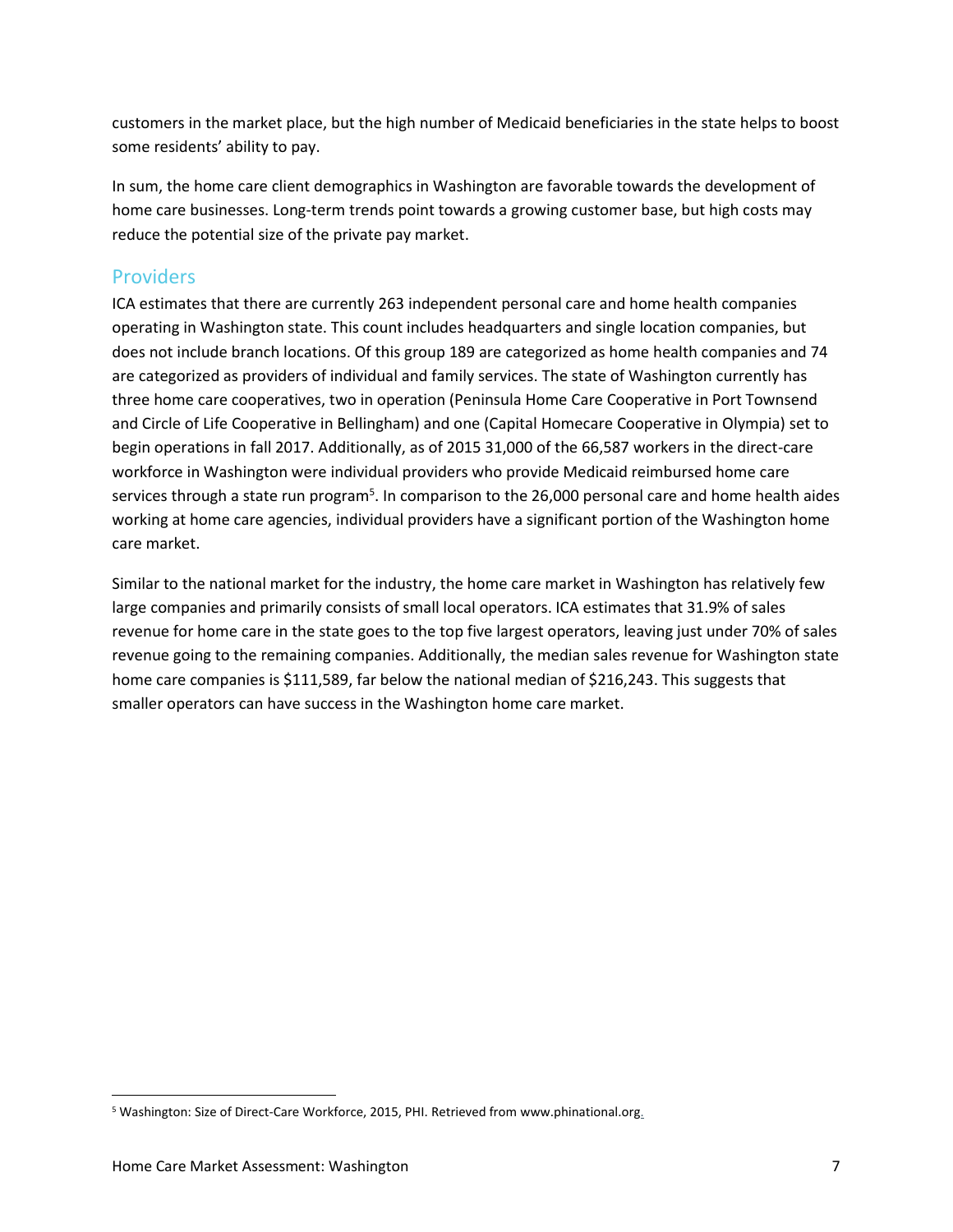customers in the market place, but the high number of Medicaid beneficiaries in the state helps to boost some residents' ability to pay.

In sum, the home care client demographics in Washington are favorable towards the development of home care businesses. Long-term trends point towards a growing customer base, but high costs may reduce the potential size of the private pay market.

### <span id="page-8-0"></span>Providers

ICA estimates that there are currently 263 independent personal care and home health companies operating in Washington state. This count includes headquarters and single location companies, but does not include branch locations. Of this group 189 are categorized as home health companies and 74 are categorized as providers of individual and family services. The state of Washington currently has three home care cooperatives, two in operation (Peninsula Home Care Cooperative in Port Townsend and Circle of Life Cooperative in Bellingham) and one (Capital Homecare Cooperative in Olympia) set to begin operations in fall 2017. Additionally, as of 2015 31,000 of the 66,587 workers in the direct-care workforce in Washington were individual providers who provide Medicaid reimbursed home care services through a state run program<sup>5</sup>. In comparison to the 26,000 personal care and home health aides working at home care agencies, individual providers have a significant portion of the Washington home care market.

Similar to the national market for the industry, the home care market in Washington has relatively few large companies and primarily consists of small local operators. ICA estimates that 31.9% of sales revenue for home care in the state goes to the top five largest operators, leaving just under 70% of sales revenue going to the remaining companies. Additionally, the median sales revenue for Washington state home care companies is \$111,589, far below the national median of \$216,243. This suggests that smaller operators can have success in the Washington home care market.

<sup>&</sup>lt;sup>5</sup> [Washington:](https://phinational.org/policy/states/washington/) Size of Direct-Care Workforce, 2015, PHI. Retrieved fro[m www.phinational.org](http://www.phinational.org/).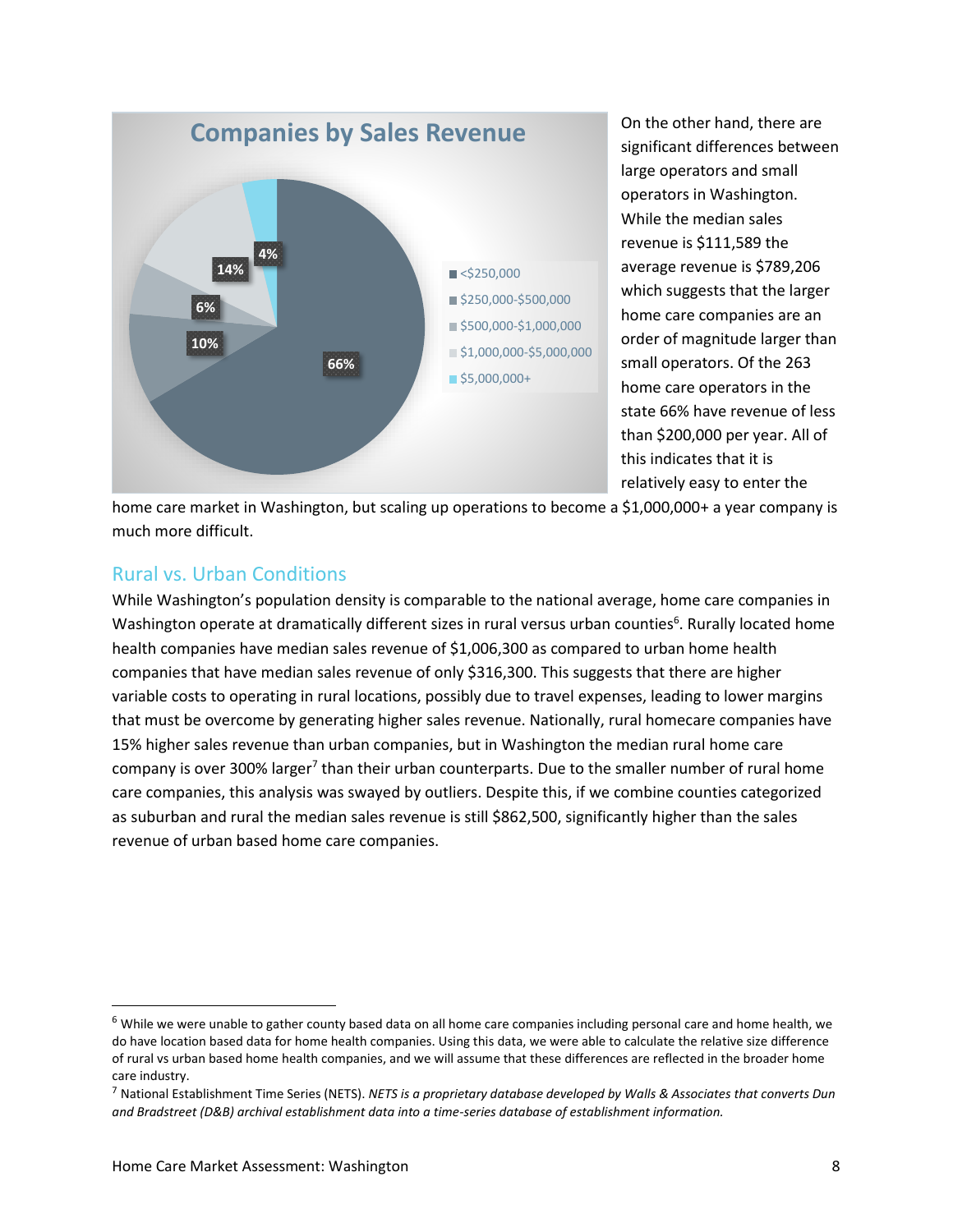

On the other hand, there are significant differences between large operators and small operators in Washington. While the median sales revenue is \$111,589 the average revenue is \$789,206 which suggests that the larger home care companies are an order of magnitude larger than small operators. Of the 263 home care operators in the state 66% have revenue of less than \$200,000 per year. All of this indicates that it is relatively easy to enter the

home care market in Washington, but scaling up operations to become a \$1,000,000+ a year company is much more difficult.

## <span id="page-9-0"></span>Rural vs. Urban Conditions

While Washington's population density is comparable to the national average, home care companies in Washington operate at dramatically different sizes in rural versus urban counties<sup>6</sup>. Rurally located home health companies have median sales revenue of \$1,006,300 as compared to urban home health companies that have median sales revenue of only \$316,300. This suggests that there are higher variable costs to operating in rural locations, possibly due to travel expenses, leading to lower margins that must be overcome by generating higher sales revenue. Nationally, rural homecare companies have 15% higher sales revenue than urban companies, but in Washington the median rural home care company is over 300% larger<sup>7</sup> than their urban counterparts. Due to the smaller number of rural home care companies, this analysis was swayed by outliers. Despite this, if we combine counties categorized as suburban and rural the median sales revenue is still \$862,500, significantly higher than the sales revenue of urban based home care companies.

 $6$  While we were unable to gather county based data on all home care companies including personal care and home health, we do have location based data for home health companies. Using this data, we were able to calculate the relative size difference of rural vs urban based home health companies, and we will assume that these differences are reflected in the broader home care industry.

<sup>7</sup> National Establishment Time Series (NETS). *NETS is a proprietary database developed by Walls & Associates that converts Dun and Bradstreet (D&B) archival establishment data into a time-series database of establishment information.*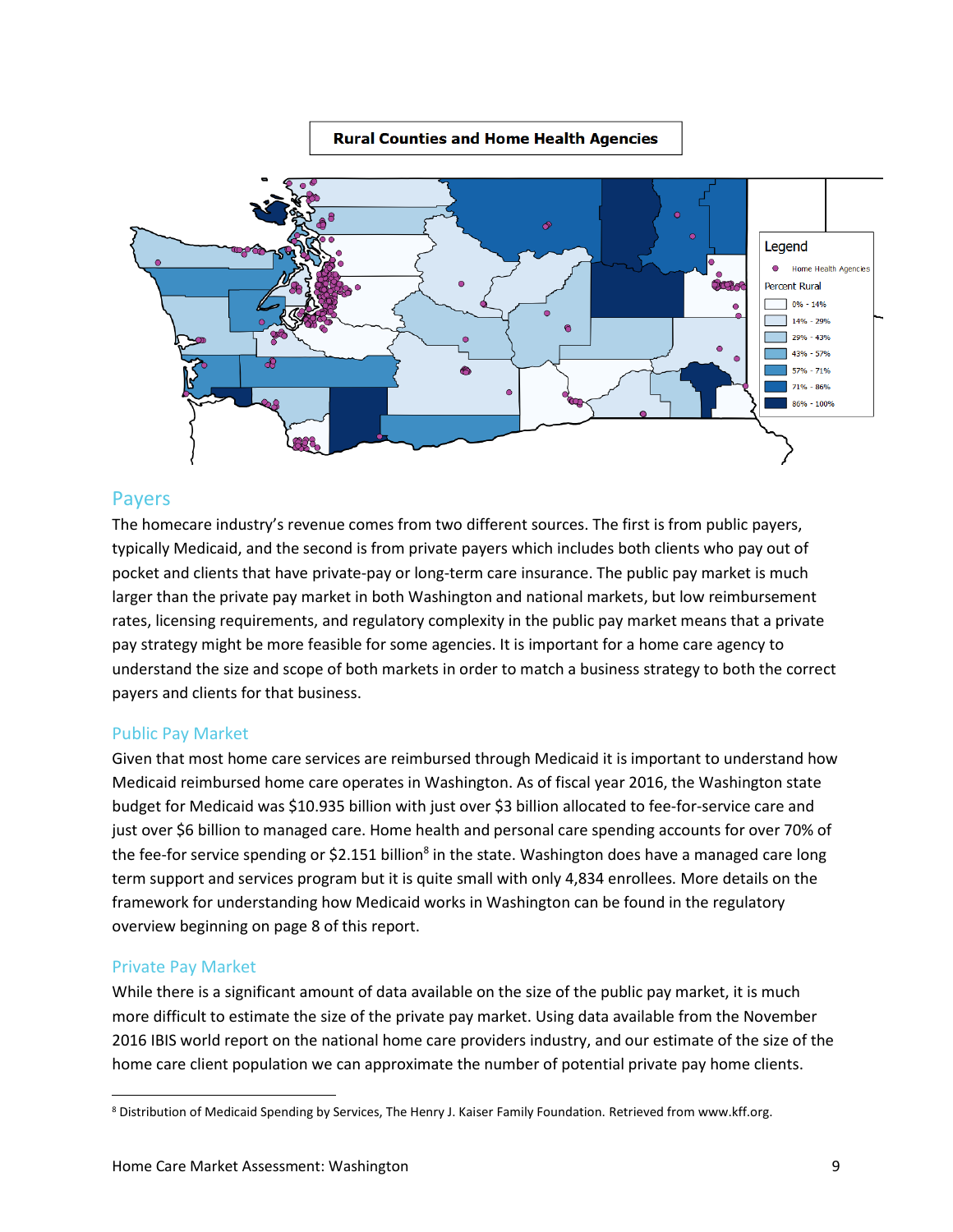#### **Rural Counties and Home Health Agencies**



#### <span id="page-10-0"></span>Payers

The homecare industry's revenue comes from two different sources. The first is from public payers, typically Medicaid, and the second is from private payers which includes both clients who pay out of pocket and clients that have private-pay or long-term care insurance. The public pay market is much larger than the private pay market in both Washington and national markets, but low reimbursement rates, licensing requirements, and regulatory complexity in the public pay market means that a private pay strategy might be more feasible for some agencies. It is important for a home care agency to understand the size and scope of both markets in order to match a business strategy to both the correct payers and clients for that business.

#### <span id="page-10-1"></span>Public Pay Market

Given that most home care services are reimbursed through Medicaid it is important to understand how Medicaid reimbursed home care operates in Washington. As of fiscal year 2016, the Washington state budget for Medicaid was \$10.935 billion with just over \$3 billion allocated to fee-for-service care and just over \$6 billion to managed care. Home health and personal care spending accounts for over 70% of the fee-for service spending or \$2.151 billion<sup>8</sup> in the state. Washington does have a managed care long term support and services program but it is quite small with only 4,834 enrollees. More details on the framework for understanding how Medicaid works in Washington can be found in the regulatory overview beginning on page 8 of this report.

#### <span id="page-10-2"></span>Private Pay Market

While there is a significant amount of data available on the size of the public pay market, it is much more difficult to estimate the size of the private pay market. Using data available from the November 2016 IBIS world report on the national home care providers industry, and our estimate of the size of the home care client population we can approximate the number of potential private pay home clients.

<sup>8</sup> Distribution of Medicaid Spending by Services, The Henry J. Kaiser Family Foundation. Retrieved fro[m www.kff.org.](http://www.kff.org/)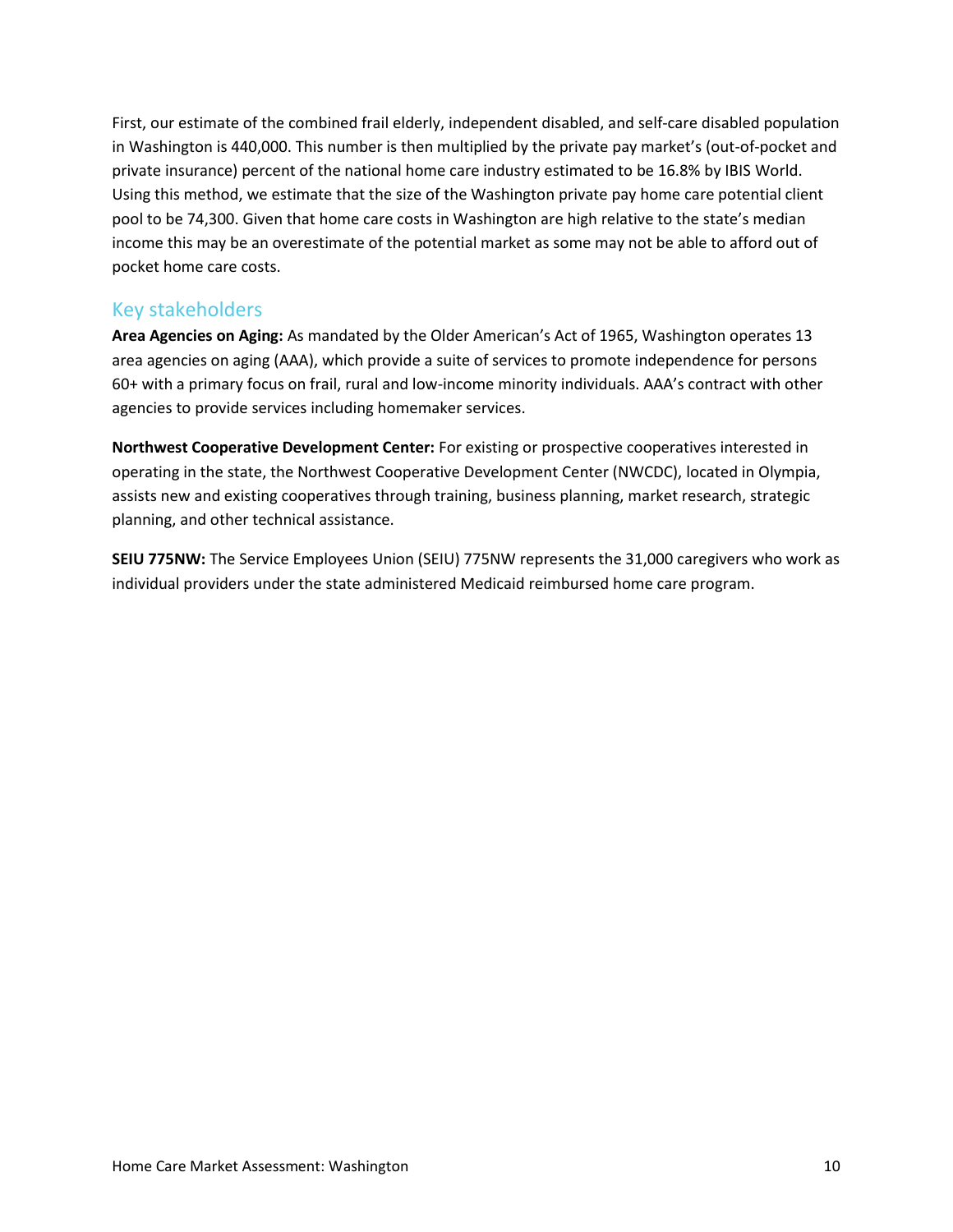First, our estimate of the combined frail elderly, independent disabled, and self-care disabled population in Washington is 440,000. This number is then multiplied by the private pay market's (out-of-pocket and private insurance) percent of the national home care industry estimated to be 16.8% by IBIS World. Using this method, we estimate that the size of the Washington private pay home care potential client pool to be 74,300. Given that home care costs in Washington are high relative to the state's median income this may be an overestimate of the potential market as some may not be able to afford out of pocket home care costs.

### <span id="page-11-0"></span>Key stakeholders

**Area Agencies on Aging:** As mandated by the Older American's Act of 1965, Washington operates 13 area agencies on aging (AAA), which provide a suite of services to promote independence for persons 60+ with a primary focus on frail, rural and low-income minority individuals. AAA's contract with other agencies to provide services including homemaker services.

**Northwest Cooperative Development Center:** For existing or prospective cooperatives interested in operating in the state, the Northwest Cooperative Development Center (NWCDC), located in Olympia, assists new and existing cooperatives through training, business planning, market research, strategic planning, and other technical assistance.

**SEIU 775NW:** The Service Employees Union (SEIU) 775NW represents the 31,000 caregivers who work as individual providers under the state administered Medicaid reimbursed home care program.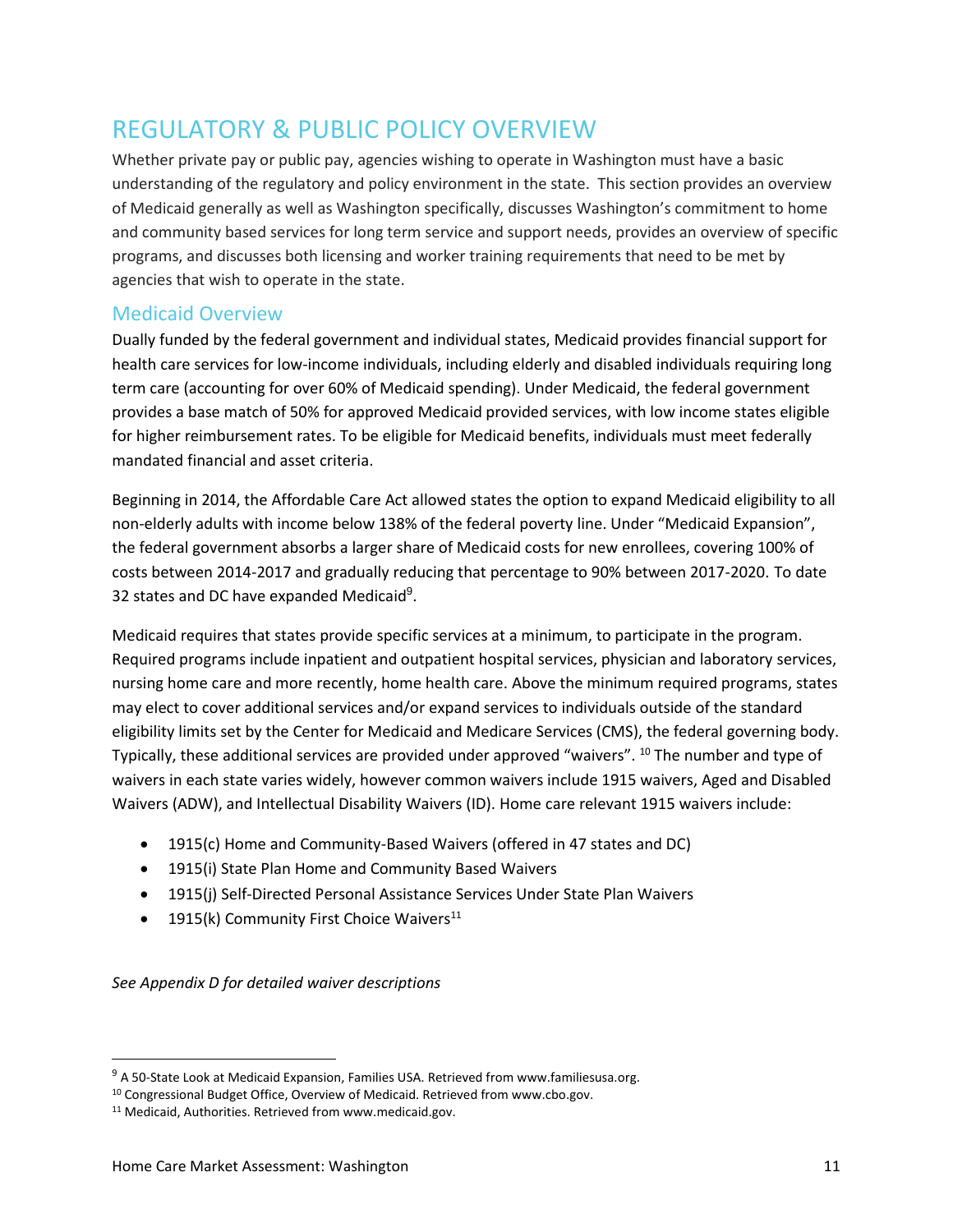## <span id="page-12-0"></span>REGULATORY & PUBLIC POLICY OVERVIEW

Whether private pay or public pay, agencies wishing to operate in Washington must have a basic understanding of the regulatory and policy environment in the state. This section provides an overview of Medicaid generally as well as Washington specifically, discusses Washington's commitment to home and community based services for long term service and support needs, provides an overview of specific programs, and discusses both licensing and worker training requirements that need to be met by agencies that wish to operate in the state.

### <span id="page-12-1"></span>Medicaid Overview

Dually funded by the federal government and individual states, Medicaid provides financial support for health care services for low-income individuals, including elderly and disabled individuals requiring long term care (accounting for over 60% of Medicaid spending). Under Medicaid, the federal government provides a base match of 50% for approved Medicaid provided services, with low income states eligible for higher reimbursement rates. To be eligible for Medicaid benefits, individuals must meet federally mandated financial and asset criteria.

Beginning in 2014, the Affordable Care Act allowed states the option to expand Medicaid eligibility to all non-elderly adults with income below 138% of the federal poverty line. Under "Medicaid Expansion", the federal government absorbs a larger share of Medicaid costs for new enrollees, covering 100% of costs between 2014-2017 and gradually reducing that percentage to 90% between 2017-2020. To date 32 states and DC have expanded Medicaid<sup>9</sup>.

Medicaid requires that states provide specific services at a minimum, to participate in the program. Required programs include inpatient and outpatient hospital services, physician and laboratory services, nursing home care and more recently, home health care. Above the minimum required programs, states may elect to cover additional services and/or expand services to individuals outside of the standard eligibility limits set by the Center for Medicaid and Medicare Services (CMS), the federal governing body. Typically, these additional services are provided under approved "waivers". <sup>10</sup> The number and type of waivers in each state varies widely, however common waivers include 1915 waivers, Aged and Disabled Waivers (ADW), and Intellectual Disability Waivers (ID). Home care relevant 1915 waivers include:

- 1915(c) Home and Community-Based Waivers (offered in 47 states and DC)
- 1915(i) State Plan Home and Community Based Waivers
- 1915(j) Self-Directed Personal Assistance Services Under State Plan Waivers
- 1915(k) Community First Choice Waivers $^{11}$

*See Appendix D for detailed waiver descriptions*

 $9$  A 50-State Look at Medicaid Expansion, Families USA. Retrieved from www.familiesusa.org.

<sup>10</sup> Congressional Budget Office, Overview of Medicaid. Retrieved from www.cbo.gov.

<sup>11</sup> Medicaid, Authorities. Retrieved from www.medicaid.gov.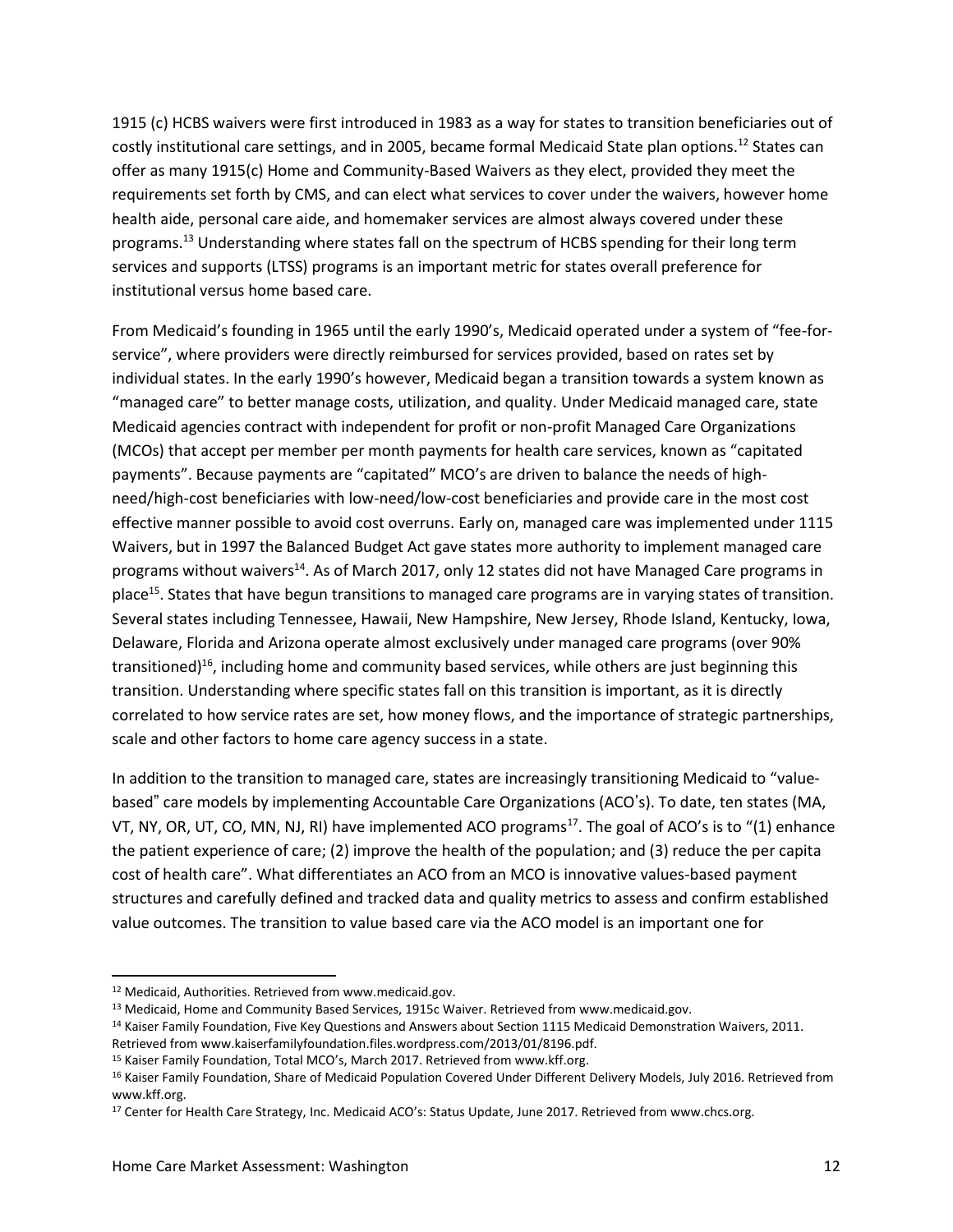1915 (c) HCBS waivers were first introduced in 1983 as a way for states to transition beneficiaries out of costly institutional care settings, and in 2005, became formal Medicaid State plan options.<sup>12</sup> States can offer as many 1915(c) Home and Community-Based Waivers as they elect, provided they meet the requirements set forth by CMS, and can elect what services to cover under the waivers, however home health aide, personal care aide, and homemaker services are almost always covered under these programs.<sup>13</sup> Understanding where states fall on the spectrum of HCBS spending for their long term services and supports (LTSS) programs is an important metric for states overall preference for institutional versus home based care.

From Medicaid's founding in 1965 until the early 1990's, Medicaid operated under a system of "fee-forservice", where providers were directly reimbursed for services provided, based on rates set by individual states. In the early 1990's however, Medicaid began a transition towards a system known as "managed care" to better manage costs, utilization, and quality. Under Medicaid managed care, state Medicaid agencies contract with independent for profit or non-profit Managed Care Organizations (MCOs) that accept per member per month payments for health care services, known as "capitated payments". Because payments are "capitated" MCO's are driven to balance the needs of highneed/high-cost beneficiaries with low-need/low-cost beneficiaries and provide care in the most cost effective manner possible to avoid cost overruns. Early on, managed care was implemented under 1115 Waivers, but in 1997 the Balanced Budget Act gave states more authority to implement managed care programs without waivers<sup>14</sup>. As of March 2017, only 12 states did not have Managed Care programs in place<sup>15</sup>. States that have begun transitions to managed care programs are in varying states of transition. Several states including Tennessee, Hawaii, New Hampshire, New Jersey, Rhode Island, Kentucky, Iowa, Delaware, Florida and Arizona operate almost exclusively under managed care programs (over 90% transitioned)<sup>16</sup>, including home and community based services, while others are just beginning this transition. Understanding where specific states fall on this transition is important, as it is directly correlated to how service rates are set, how money flows, and the importance of strategic partnerships, scale and other factors to home care agency success in a state.

In addition to the transition to managed care, states are increasingly transitioning Medicaid to "value‐ based" care models by implementing Accountable Care Organizations (ACO's). To date, ten states (MA, VT, NY, OR, UT, CO, MN, NJ, RI) have implemented ACO programs<sup>17</sup>. The goal of ACO's is to "(1) enhance the patient experience of care; (2) improve the health of the population; and (3) reduce the per capita cost of health care". What differentiates an ACO from an MCO is innovative values-based payment structures and carefully defined and tracked data and quality metrics to assess and confirm established value outcomes. The transition to value based care via the ACO model is an important one for

<sup>12</sup> Medicaid, Authorities. Retrieved from www.medicaid.gov.

<sup>&</sup>lt;sup>13</sup> Medicaid, Home and Community Based Services, 1915c Waiver. Retrieved from www.medicaid.gov.

<sup>&</sup>lt;sup>14</sup> Kaiser Family Foundation, Five Key Questions and Answers about Section 1115 Medicaid Demonstration Waivers, 2011. Retrieved from www.kaiserfamilyfoundation.files.wordpress.com/2013/01/8196.pdf.

<sup>15</sup> Kaiser Family Foundation, Total MCO's, March 2017. Retrieved from www.kff.org.

<sup>16</sup> Kaiser Family Foundation, Share of Medicaid Population Covered Under Different Delivery Models, July 2016. Retrieved from www.kff.org.

<sup>17</sup> Center for Health Care Strategy, Inc. Medicaid ACO's: Status Update, June 2017. Retrieved from www.chcs.org.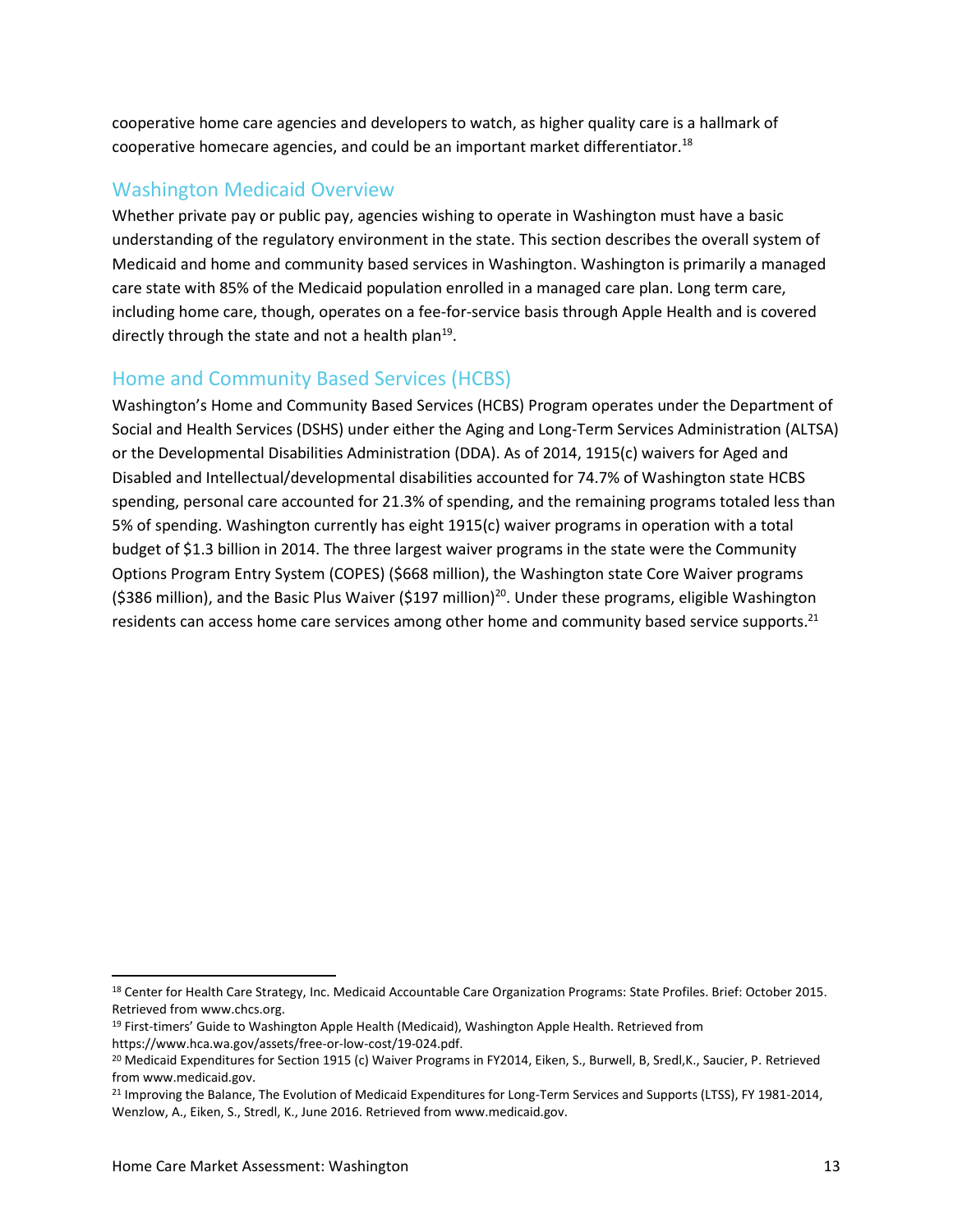cooperative home care agencies and developers to watch, as higher quality care is a hallmark of cooperative homecare agencies, and could be an important market differentiator.<sup>18</sup>

### <span id="page-14-0"></span>Washington Medicaid Overview

Whether private pay or public pay, agencies wishing to operate in Washington must have a basic understanding of the regulatory environment in the state. This section describes the overall system of Medicaid and home and community based services in Washington. Washington is primarily a managed care state with 85% of the Medicaid population enrolled in a managed care plan. Long term care, including home care, though, operates on a fee-for-service basis through Apple Health and is covered directly through the state and not a health plan<sup>19</sup>.

### <span id="page-14-1"></span>Home and Community Based Services (HCBS)

Washington's Home and Community Based Services (HCBS) Program operates under the Department of Social and Health Services (DSHS) under either the Aging and Long-Term Services Administration (ALTSA) or the Developmental Disabilities Administration (DDA). As of 2014, 1915(c) waivers for Aged and Disabled and Intellectual/developmental disabilities accounted for 74.7% of Washington state HCBS spending, personal care accounted for 21.3% of spending, and the remaining programs totaled less than 5% of spending. Washington currently has eight 1915(c) waiver programs in operation with a total budget of \$1.3 billion in 2014. The three largest waiver programs in the state were the Community Options Program Entry System (COPES) (\$668 million), the Washington state Core Waiver programs (\$386 million), and the Basic Plus Waiver (\$197 million)<sup>20</sup>. Under these programs, eligible Washington residents can access home care services among other home and community based service supports.<sup>21</sup>

<sup>&</sup>lt;sup>18</sup> Center for Health Care Strategy, Inc. Medicaid Accountable Care Organization Programs: State Profiles. Brief: October 2015. Retrieved from www.chcs.org.

<sup>19</sup> First-timers' Guide to Washington Apple Health (Medicaid), Washington Apple Health. Retrieved from https://www.hca.wa.gov/assets/free-or-low-cost/19-024.pdf.

<sup>&</sup>lt;sup>20</sup> Medicaid Expenditures for Section 1915 (c) Waiver Programs in FY2014, Eiken, S., Burwell, B, Sredl, K., Saucier, P. Retrieved from www.medicaid.gov.

<sup>21</sup> Improving the Balance, The Evolution of Medicaid Expenditures for Long-Term Services and Supports (LTSS), FY 1981-2014, Wenzlow, A., Eiken, S., Stredl, K., June 2016. Retrieved from www.medicaid.gov.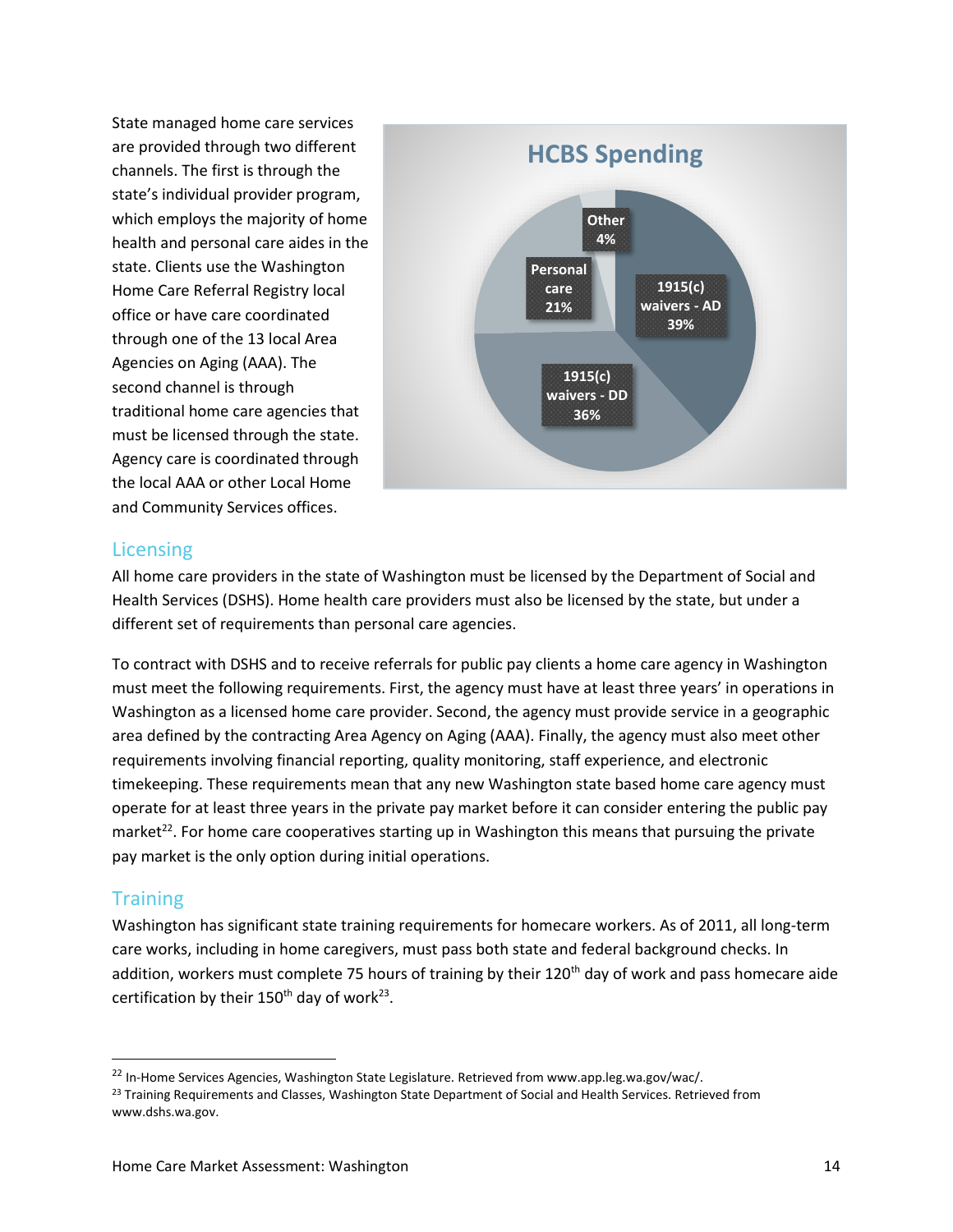State managed home care services are provided through two different channels. The first is through the state's individual provider program, which employs the majority of home health and personal care aides in the state. Clients use the Washington Home Care Referral Registry local office or have care coordinated through one of the 13 local Area Agencies on Aging (AAA). The second channel is through traditional home care agencies that must be licensed through the state. Agency care is coordinated through the local AAA or other Local Home and Community Services offices.



### <span id="page-15-0"></span>Licensing

All home care providers in the state of Washington must be licensed by the Department of Social and Health Services (DSHS). Home health care providers must also be licensed by the state, but under a different set of requirements than personal care agencies.

To contract with DSHS and to receive referrals for public pay clients a home care agency in Washington must meet the following requirements. First, the agency must have at least three years' in operations in Washington as a licensed home care provider. Second, the agency must provide service in a geographic area defined by the contracting Area Agency on Aging (AAA). Finally, the agency must also meet other requirements involving financial reporting, quality monitoring, staff experience, and electronic timekeeping. These requirements mean that any new Washington state based home care agency must operate for at least three years in the private pay market before it can consider entering the public pay market<sup>22</sup>. For home care cooperatives starting up in Washington this means that pursuing the private pay market is the only option during initial operations.

### <span id="page-15-1"></span>**Training**

Washington has significant state training requirements for homecare workers. As of 2011, all long-term care works, including in home caregivers, must pass both state and federal background checks. In addition, workers must complete 75 hours of training by their 120<sup>th</sup> day of work and pass homecare aide certification by their 150<sup>th</sup> day of work<sup>23</sup>.

<sup>&</sup>lt;sup>22</sup> In-Home Services Agencies, Washington State Legislature. Retrieved from www.app.leg.wa.gov/wac/.

<sup>&</sup>lt;sup>23</sup> Training Requirements and Classes, Washington State Department of Social and Health Services. Retrieved from www.dshs.wa.gov.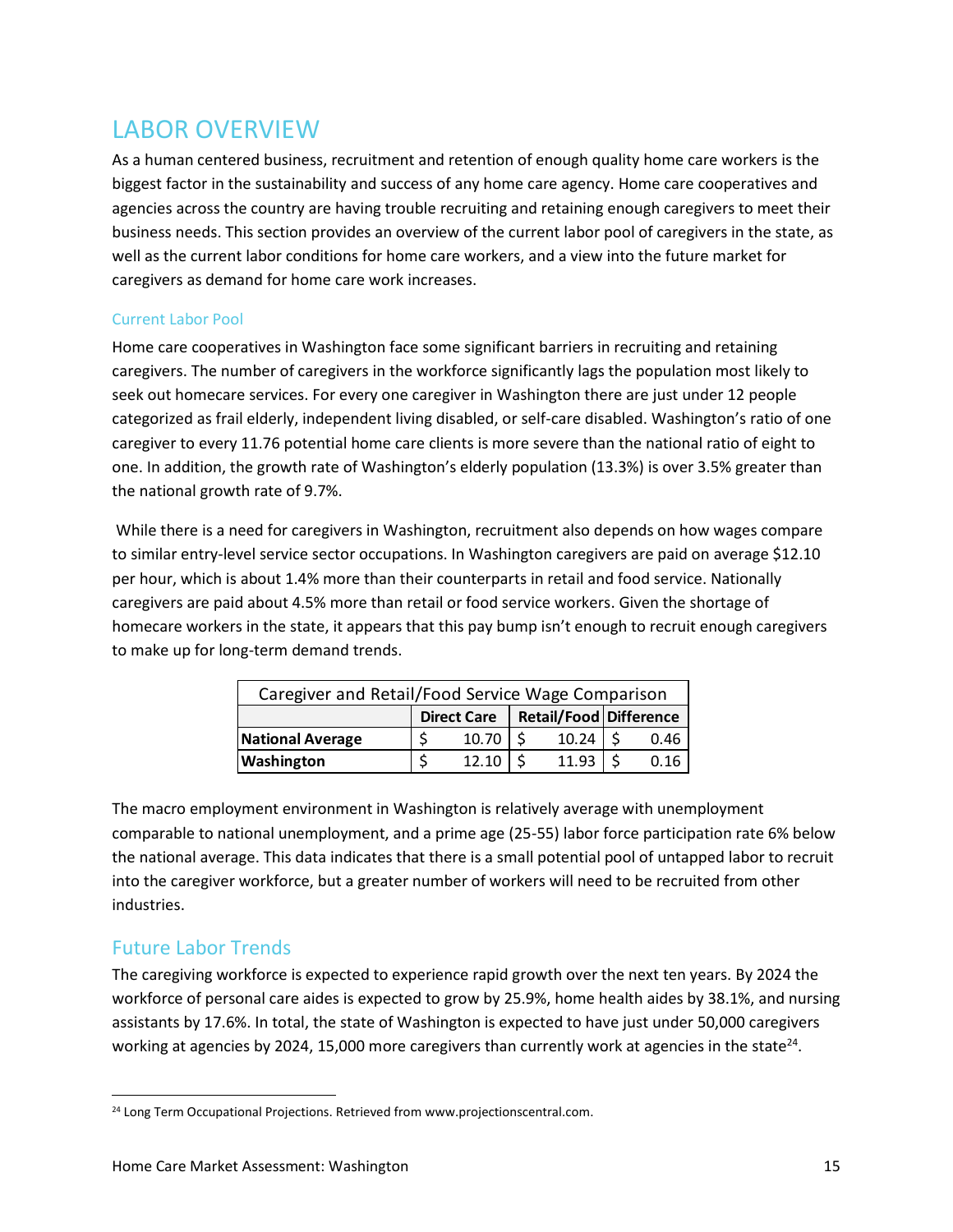## <span id="page-16-0"></span>LABOR OVERVIEW

As a human centered business, recruitment and retention of enough quality home care workers is the biggest factor in the sustainability and success of any home care agency. Home care cooperatives and agencies across the country are having trouble recruiting and retaining enough caregivers to meet their business needs. This section provides an overview of the current labor pool of caregivers in the state, as well as the current labor conditions for home care workers, and a view into the future market for caregivers as demand for home care work increases.

### <span id="page-16-1"></span>Current Labor Pool

Home care cooperatives in Washington face some significant barriers in recruiting and retaining caregivers. The number of caregivers in the workforce significantly lags the population most likely to seek out homecare services. For every one caregiver in Washington there are just under 12 people categorized as frail elderly, independent living disabled, or self-care disabled. Washington's ratio of one caregiver to every 11.76 potential home care clients is more severe than the national ratio of eight to one. In addition, the growth rate of Washington's elderly population (13.3%) is over 3.5% greater than the national growth rate of 9.7%.

While there is a need for caregivers in Washington, recruitment also depends on how wages compare to similar entry-level service sector occupations. In Washington caregivers are paid on average \$12.10 per hour, which is about 1.4% more than their counterparts in retail and food service. Nationally caregivers are paid about 4.5% more than retail or food service workers. Given the shortage of homecare workers in the state, it appears that this pay bump isn't enough to recruit enough caregivers to make up for long-term demand trends.

| Caregiver and Retail/Food Service Wage Comparison |                    |       |                        |       |  |      |
|---------------------------------------------------|--------------------|-------|------------------------|-------|--|------|
|                                                   | <b>Direct Care</b> |       | Retail/Food Difference |       |  |      |
| <b>National Average</b>                           |                    | 10.70 |                        | 10.24 |  | 0.46 |
| <b>Washington</b>                                 |                    | 12.10 |                        | 11.93 |  | በ 16 |

The macro employment environment in Washington is relatively average with unemployment comparable to national unemployment, and a prime age (25-55) labor force participation rate 6% below the national average. This data indicates that there is a small potential pool of untapped labor to recruit into the caregiver workforce, but a greater number of workers will need to be recruited from other industries.

## <span id="page-16-2"></span>Future Labor Trends

The caregiving workforce is expected to experience rapid growth over the next ten years. By 2024 the workforce of personal care aides is expected to grow by 25.9%, home health aides by 38.1%, and nursing assistants by 17.6%. In total, the state of Washington is expected to have just under 50,000 caregivers working at agencies by 2024, 15,000 more caregivers than currently work at agencies in the state<sup>24</sup>.

<sup>&</sup>lt;sup>24</sup> Long Term Occupational Projections. Retrieved from www.projectionscentral.com.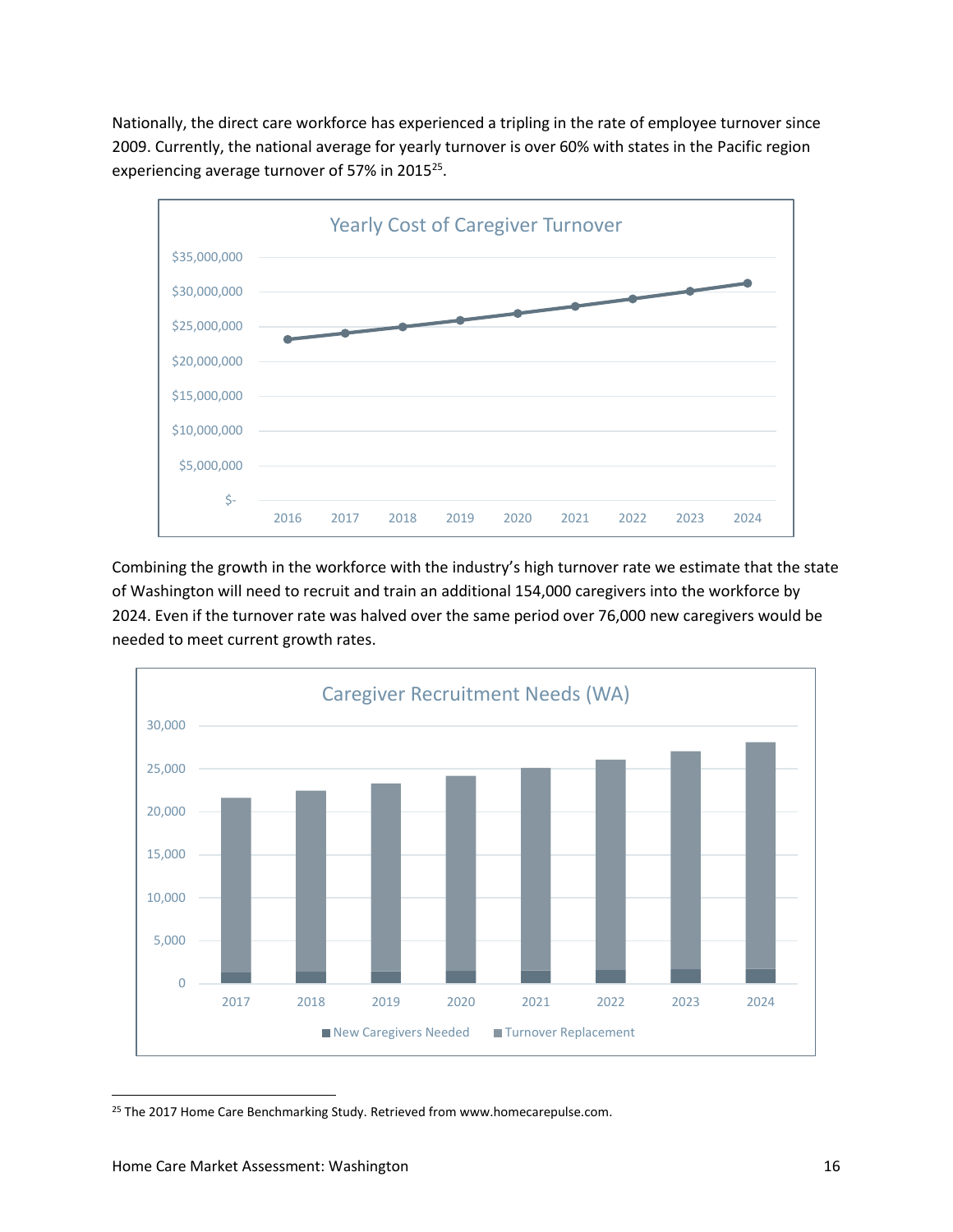Nationally, the direct care workforce has experienced a tripling in the rate of employee turnover since 2009. Currently, the national average for yearly turnover is over 60% with states in the Pacific region experiencing average turnover of 57% in 2015<sup>25</sup>.



Combining the growth in the workforce with the industry's high turnover rate we estimate that the state of Washington will need to recruit and train an additional 154,000 caregivers into the workforce by 2024. Even if the turnover rate was halved over the same period over 76,000 new caregivers would be needed to meet current growth rates.



<sup>25</sup> The 2017 Home Care Benchmarking Study. Retrieved from www.homecarepulse.com.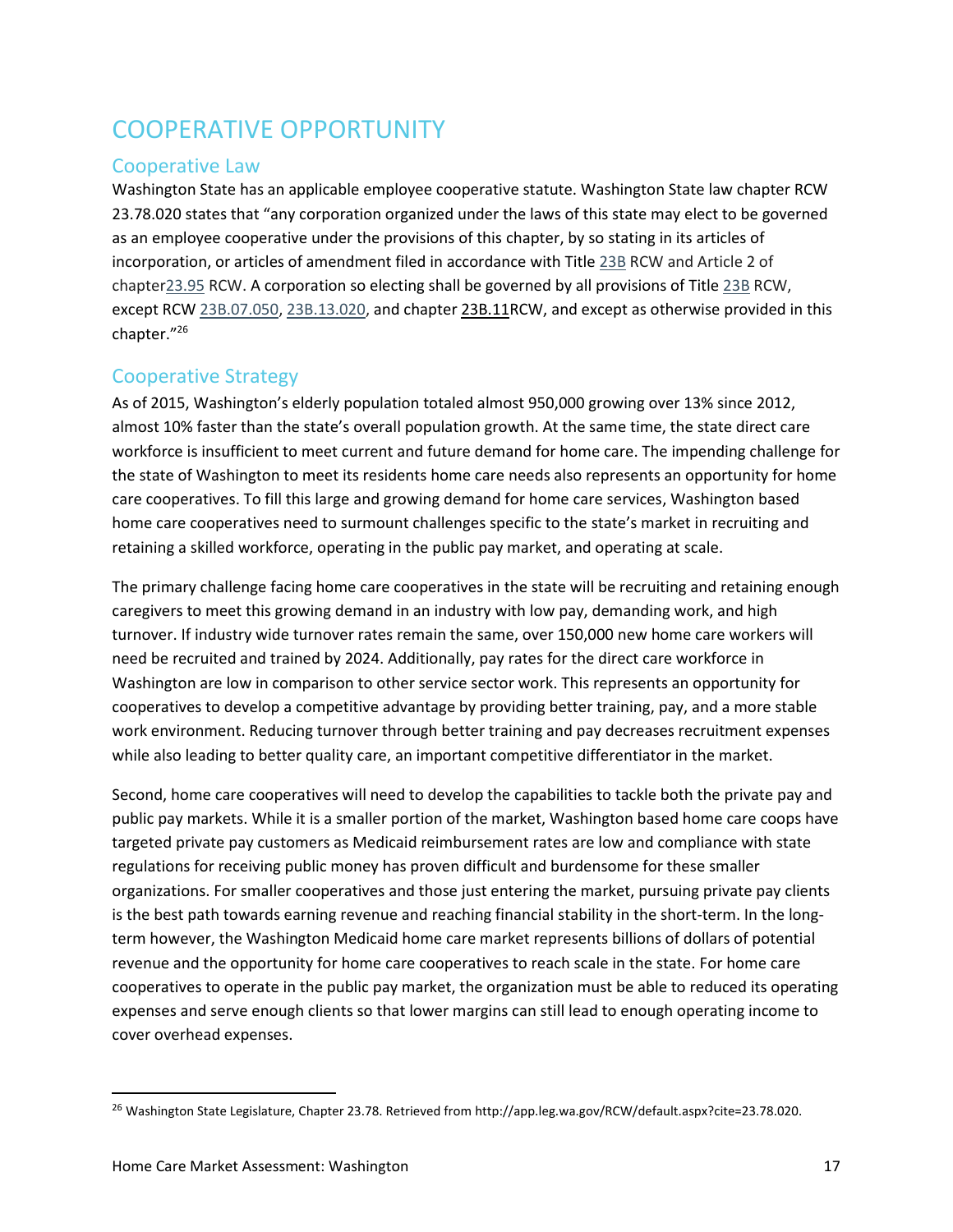# <span id="page-18-0"></span>COOPERATIVE OPPORTUNITY

### <span id="page-18-1"></span>Cooperative Law

Washington State has an applicable employee cooperative statute. Washington State law chapter RCW 23.78.020 states that "any corporation organized under the laws of this state may elect to be governed as an employee cooperative under the provisions of this chapter, by so stating in its articles of incorporation, or articles of amendment filed in accordance with Title [23B](http://app.leg.wa.gov/RCW/default.aspx?cite=%2023B) RCW and Article 2 of chapte[r23.95](http://app.leg.wa.gov/RCW/default.aspx?cite=23.95) RCW. A corporation so electing shall be governed by all provisions of Title [23B](http://app.leg.wa.gov/RCW/default.aspx?cite=%2023B) RCW, except RCW [23B.07.050,](http://app.leg.wa.gov/RCW/default.aspx?cite=23B.07.050) [23B.13.020,](http://app.leg.wa.gov/RCW/default.aspx?cite=23B.13.020) and chapter [23B.11R](http://app.leg.wa.gov/RCW/default.aspx?cite=23B.11)CW, and except as otherwise provided in this chapter."<sup>26</sup>

## <span id="page-18-2"></span>Cooperative Strategy

As of 2015, Washington's elderly population totaled almost 950,000 growing over 13% since 2012, almost 10% faster than the state's overall population growth. At the same time, the state direct care workforce is insufficient to meet current and future demand for home care. The impending challenge for the state of Washington to meet its residents home care needs also represents an opportunity for home care cooperatives. To fill this large and growing demand for home care services, Washington based home care cooperatives need to surmount challenges specific to the state's market in recruiting and retaining a skilled workforce, operating in the public pay market, and operating at scale.

The primary challenge facing home care cooperatives in the state will be recruiting and retaining enough caregivers to meet this growing demand in an industry with low pay, demanding work, and high turnover. If industry wide turnover rates remain the same, over 150,000 new home care workers will need be recruited and trained by 2024. Additionally, pay rates for the direct care workforce in Washington are low in comparison to other service sector work. This represents an opportunity for cooperatives to develop a competitive advantage by providing better training, pay, and a more stable work environment. Reducing turnover through better training and pay decreases recruitment expenses while also leading to better quality care, an important competitive differentiator in the market.

Second, home care cooperatives will need to develop the capabilities to tackle both the private pay and public pay markets. While it is a smaller portion of the market, Washington based home care coops have targeted private pay customers as Medicaid reimbursement rates are low and compliance with state regulations for receiving public money has proven difficult and burdensome for these smaller organizations. For smaller cooperatives and those just entering the market, pursuing private pay clients is the best path towards earning revenue and reaching financial stability in the short-term. In the longterm however, the Washington Medicaid home care market represents billions of dollars of potential revenue and the opportunity for home care cooperatives to reach scale in the state. For home care cooperatives to operate in the public pay market, the organization must be able to reduced its operating expenses and serve enough clients so that lower margins can still lead to enough operating income to cover overhead expenses.

<sup>&</sup>lt;sup>26</sup> Washington State Legislature, Chapter 23.78. Retrieved from http://app.leg.wa.gov/RCW/default.aspx?cite=23.78.020.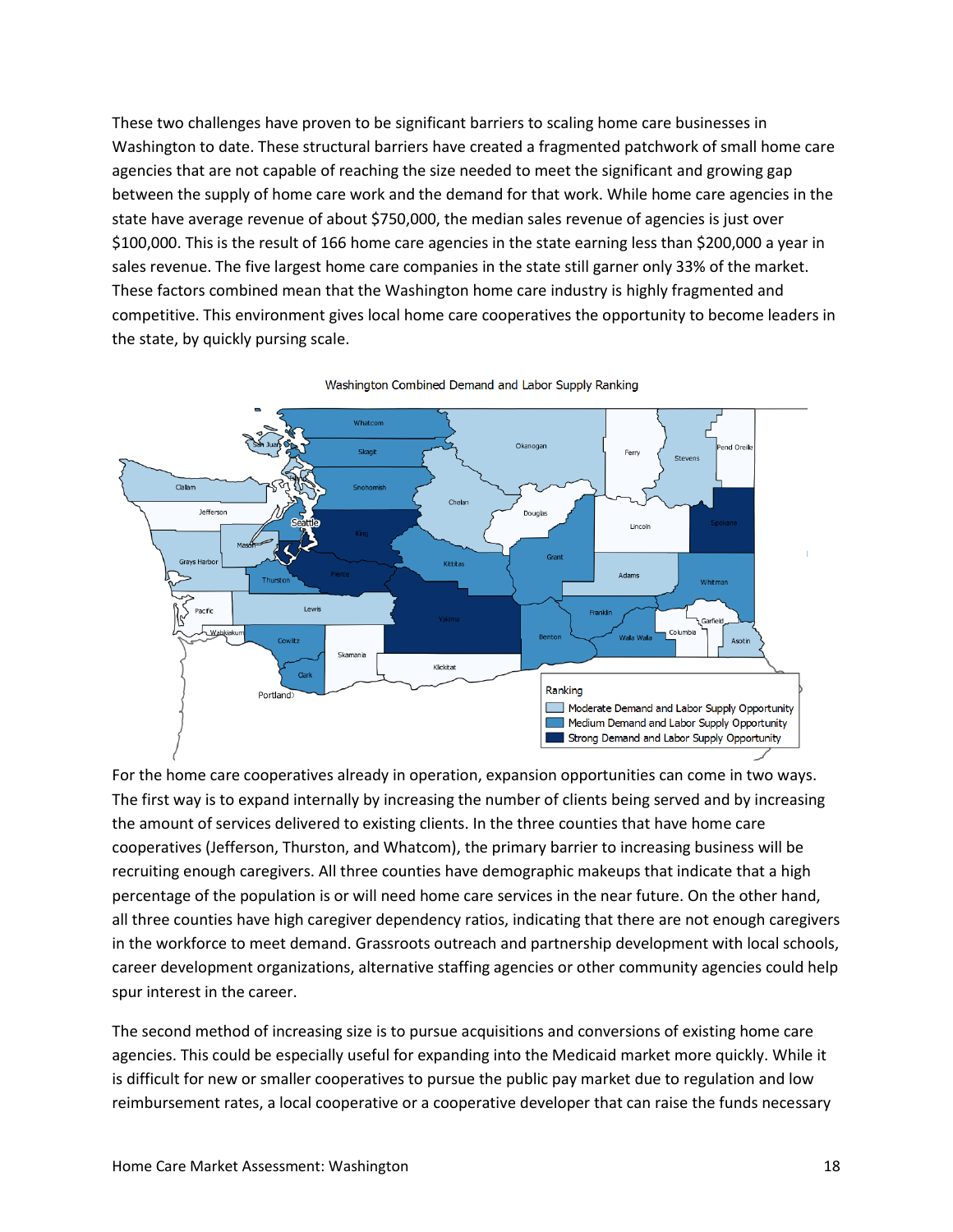These two challenges have proven to be significant barriers to scaling home care businesses in Washington to date. These structural barriers have created a fragmented patchwork of small home care agencies that are not capable of reaching the size needed to meet the significant and growing gap between the supply of home care work and the demand for that work. While home care agencies in the state have average revenue of about \$750,000, the median sales revenue of agencies is just over \$100,000. This is the result of 166 home care agencies in the state earning less than \$200,000 a year in sales revenue. The five largest home care companies in the state still garner only 33% of the market. These factors combined mean that the Washington home care industry is highly fragmented and competitive. This environment gives local home care cooperatives the opportunity to become leaders in the state, by quickly pursing scale.



Washington Combined Demand and Labor Supply Ranking

For the home care cooperatives already in operation, expansion opportunities can come in two ways. The first way is to expand internally by increasing the number of clients being served and by increasing the amount of services delivered to existing clients. In the three counties that have home care cooperatives (Jefferson, Thurston, and Whatcom), the primary barrier to increasing business will be recruiting enough caregivers. All three counties have demographic makeups that indicate that a high percentage of the population is or will need home care services in the near future. On the other hand, all three counties have high caregiver dependency ratios, indicating that there are not enough caregivers in the workforce to meet demand. Grassroots outreach and partnership development with local schools, career development organizations, alternative staffing agencies or other community agencies could help spur interest in the career.

The second method of increasing size is to pursue acquisitions and conversions of existing home care agencies. This could be especially useful for expanding into the Medicaid market more quickly. While it is difficult for new or smaller cooperatives to pursue the public pay market due to regulation and low reimbursement rates, a local cooperative or a cooperative developer that can raise the funds necessary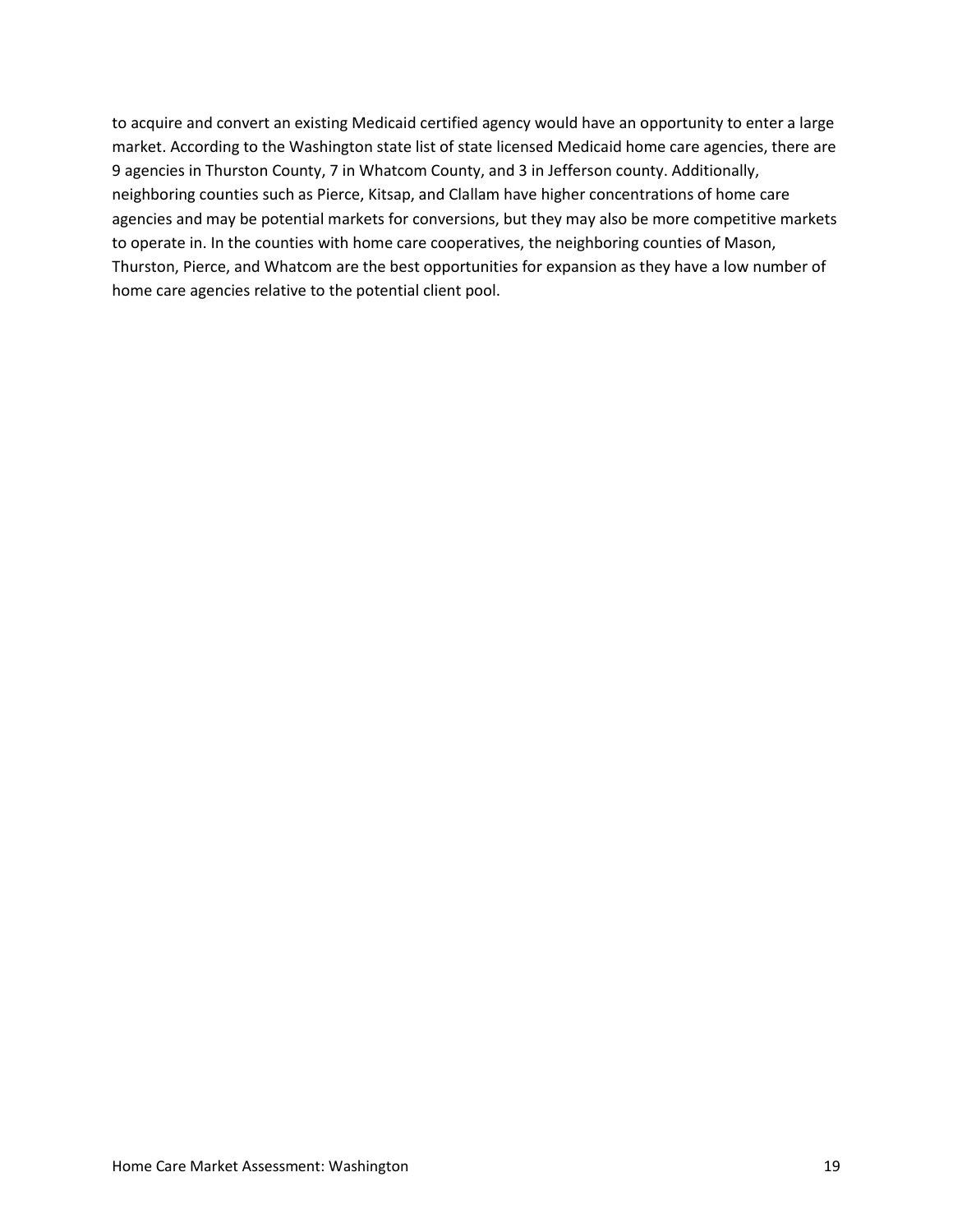to acquire and convert an existing Medicaid certified agency would have an opportunity to enter a large market. According to the Washington state list of state licensed Medicaid home care agencies, there are 9 agencies in Thurston County, 7 in Whatcom County, and 3 in Jefferson county. Additionally, neighboring counties such as Pierce, Kitsap, and Clallam have higher concentrations of home care agencies and may be potential markets for conversions, but they may also be more competitive markets to operate in. In the counties with home care cooperatives, the neighboring counties of Mason, Thurston, Pierce, and Whatcom are the best opportunities for expansion as they have a low number of home care agencies relative to the potential client pool.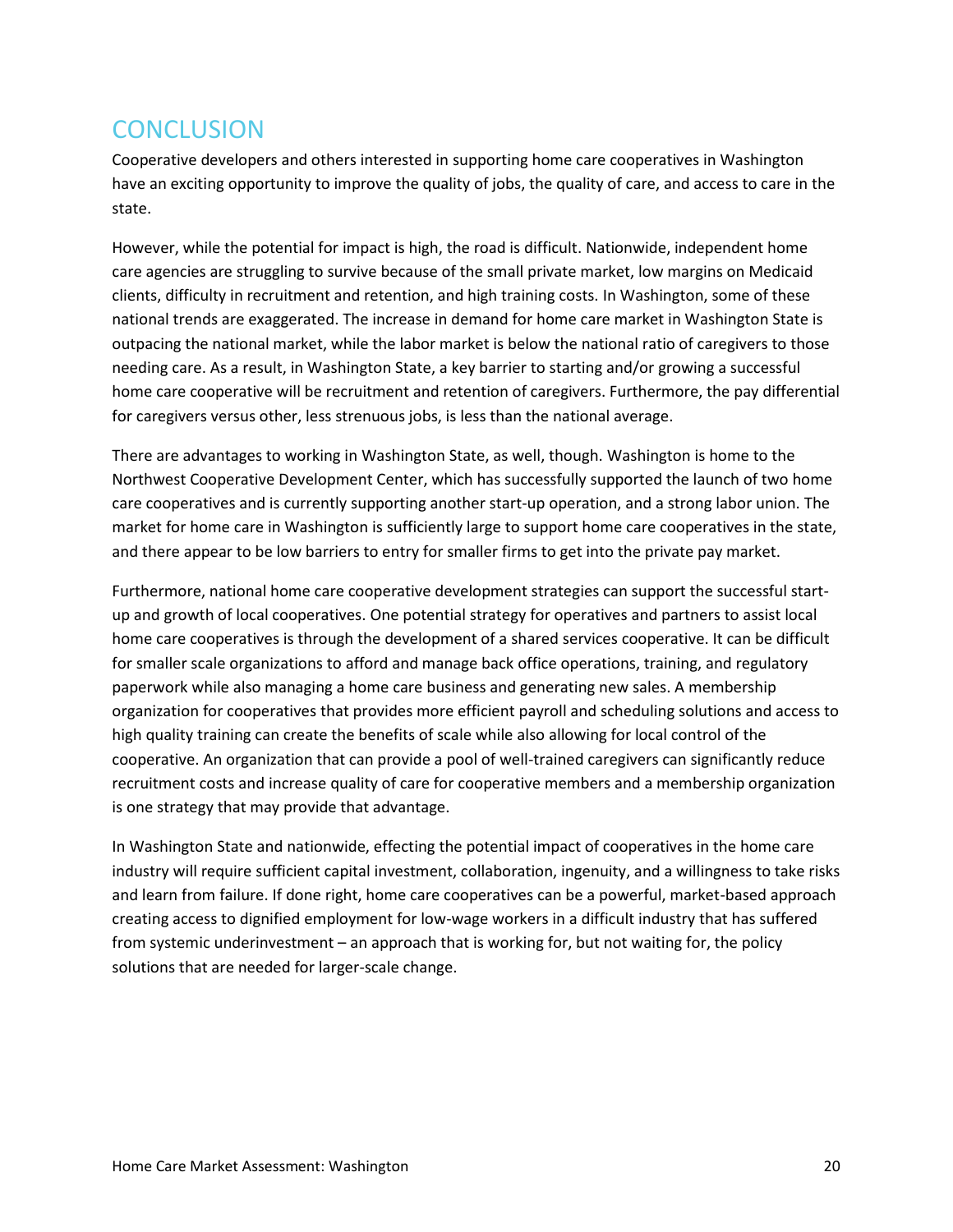## <span id="page-21-0"></span>**CONCLUSION**

Cooperative developers and others interested in supporting home care cooperatives in Washington have an exciting opportunity to improve the quality of jobs, the quality of care, and access to care in the state.

However, while the potential for impact is high, the road is difficult. Nationwide, independent home care agencies are struggling to survive because of the small private market, low margins on Medicaid clients, difficulty in recruitment and retention, and high training costs. In Washington, some of these national trends are exaggerated. The increase in demand for home care market in Washington State is outpacing the national market, while the labor market is below the national ratio of caregivers to those needing care. As a result, in Washington State, a key barrier to starting and/or growing a successful home care cooperative will be recruitment and retention of caregivers. Furthermore, the pay differential for caregivers versus other, less strenuous jobs, is less than the national average.

There are advantages to working in Washington State, as well, though. Washington is home to the Northwest Cooperative Development Center, which has successfully supported the launch of two home care cooperatives and is currently supporting another start-up operation, and a strong labor union. The market for home care in Washington is sufficiently large to support home care cooperatives in the state, and there appear to be low barriers to entry for smaller firms to get into the private pay market.

Furthermore, national home care cooperative development strategies can support the successful startup and growth of local cooperatives. One potential strategy for operatives and partners to assist local home care cooperatives is through the development of a shared services cooperative. It can be difficult for smaller scale organizations to afford and manage back office operations, training, and regulatory paperwork while also managing a home care business and generating new sales. A membership organization for cooperatives that provides more efficient payroll and scheduling solutions and access to high quality training can create the benefits of scale while also allowing for local control of the cooperative. An organization that can provide a pool of well-trained caregivers can significantly reduce recruitment costs and increase quality of care for cooperative members and a membership organization is one strategy that may provide that advantage.

In Washington State and nationwide, effecting the potential impact of cooperatives in the home care industry will require sufficient capital investment, collaboration, ingenuity, and a willingness to take risks and learn from failure. If done right, home care cooperatives can be a powerful, market-based approach creating access to dignified employment for low-wage workers in a difficult industry that has suffered from systemic underinvestment – an approach that is working for, but not waiting for, the policy solutions that are needed for larger-scale change.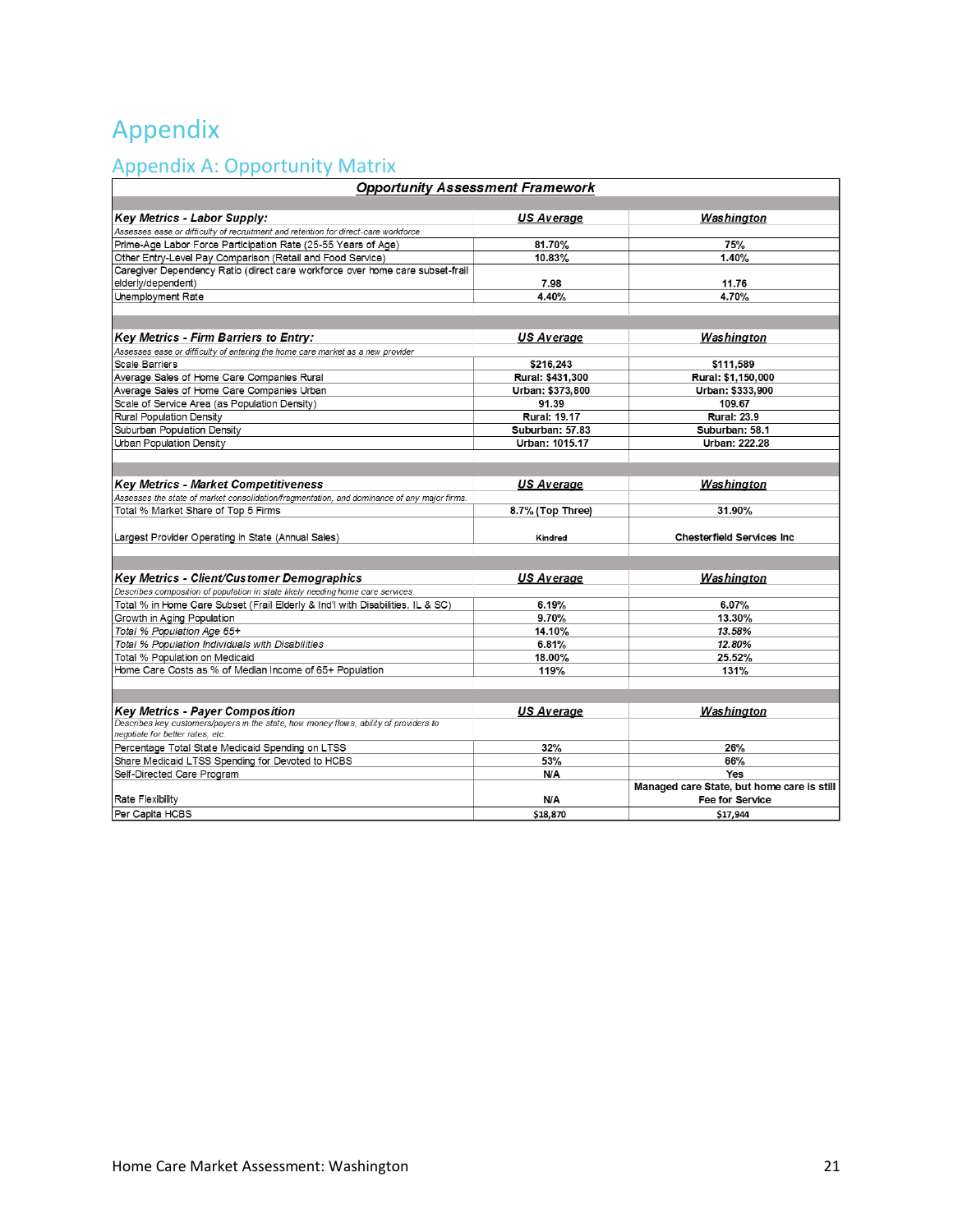# <span id="page-22-0"></span>Appendix

## <span id="page-22-1"></span>Appendix A: Opportunity Matrix

| <b>Opportunity Assessment Framework</b>                                                                                   |                     |                                            |  |
|---------------------------------------------------------------------------------------------------------------------------|---------------------|--------------------------------------------|--|
|                                                                                                                           |                     |                                            |  |
| Key Metrics - Labor Supply:                                                                                               | <b>US Average</b>   | <b>Washington</b>                          |  |
| Assesses ease or difficulty of recruitment and retention for direct-care workforce.                                       |                     |                                            |  |
| Prime-Age Labor Force Participation Rate (25-55 Years of Age)                                                             | 81.70%              | 75%                                        |  |
| Other Entry-Level Pay Comparison (Retail and Food Service)                                                                | 10.83%              | 1.40%                                      |  |
| Caregiver Dependency Ratio (direct care workforce over home care subset-frail<br>elderly/dependent)                       | 7.98                | 11.76                                      |  |
| Unemployment Rate                                                                                                         | 4.40%               | 4.70%                                      |  |
|                                                                                                                           |                     |                                            |  |
|                                                                                                                           |                     |                                            |  |
| Key Metrics - Firm Barriers to Entry:                                                                                     | <b>US Average</b>   | Washington                                 |  |
| Assesses ease or difficulty of entering the home care market as a new provider                                            |                     |                                            |  |
| <b>Scale Barriers</b>                                                                                                     | \$216,243           | \$111,589                                  |  |
| Average Sales of Home Care Companies Rural                                                                                | Rural: \$431,300    | Rural: \$1,150,000                         |  |
| Average Sales of Home Care Companies Urban                                                                                | Urban: \$373,800    | Urban: \$333,900                           |  |
| Scale of Service Area (as Population Density)                                                                             | 91.39               | 109.67                                     |  |
| Rural Population Density                                                                                                  | <b>Rural: 19.17</b> | <b>Rural: 23.9</b>                         |  |
| Suburban Population Density                                                                                               | Suburban: 57.83     | Suburban: 58.1                             |  |
| Urban Population Density                                                                                                  | Urban: 1015.17      | <b>Urban: 222.28</b>                       |  |
|                                                                                                                           |                     |                                            |  |
|                                                                                                                           |                     |                                            |  |
| <b>Key Metrics - Market Competitiveness</b>                                                                               | <b>US Average</b>   | Washington                                 |  |
| Assesses the state of market consolidation/fragmentation, and dominance of any major firms.                               |                     |                                            |  |
| Total % Market Share of Top 5 Firms                                                                                       | 8.7% (Top Three)    | 31.90%                                     |  |
|                                                                                                                           |                     |                                            |  |
| Largest Provider Operating in State (Annual Sales)                                                                        | Kindred             | <b>Chesterfield Services Inc.</b>          |  |
|                                                                                                                           |                     |                                            |  |
|                                                                                                                           |                     |                                            |  |
| Key Metrics - Client/Customer Demographics                                                                                | <b>US Average</b>   | Washington                                 |  |
| Describes composition of population in state likely needing home care services.                                           |                     |                                            |  |
| Total % in Home Care Subset (Frail Elderly & Ind'l with Disabilities, IL & SC)                                            | 6.19%               | 6.07%                                      |  |
| Growth in Aging Population                                                                                                | 9.70%               | 13.30%                                     |  |
| Total % Population Age 65+                                                                                                | 14.10%              | 13.58%                                     |  |
| Total % Population Individuals with Disabilities                                                                          | 6.81%               | 12.80%                                     |  |
| Total % Population on Medicaid                                                                                            | 18.00%              | 25.52%                                     |  |
| Home Care Costs as % of Median Income of 65+ Population                                                                   | 119%                | 131%                                       |  |
|                                                                                                                           |                     |                                            |  |
|                                                                                                                           |                     |                                            |  |
| <b>Key Metrics - Payer Composition</b>                                                                                    | <b>US Average</b>   | Washington                                 |  |
| Describes key customers/payers in the state, how money flows, ability of providers to<br>negotiate for better rates, etc. |                     |                                            |  |
| Percentage Total State Medicaid Spending on LTSS                                                                          | 32%                 | 26%                                        |  |
| Share Medicaid LTSS Spending for Devoted to HCBS                                                                          | 53%                 | 66%                                        |  |
| Self-Directed Care Program                                                                                                | N/A                 | Yes                                        |  |
|                                                                                                                           |                     | Managed care State, but home care is still |  |
| Rate Flexibility                                                                                                          | N/A                 | Fee for Service                            |  |
| Per Capita HCBS                                                                                                           | \$18,870            | \$17.944                                   |  |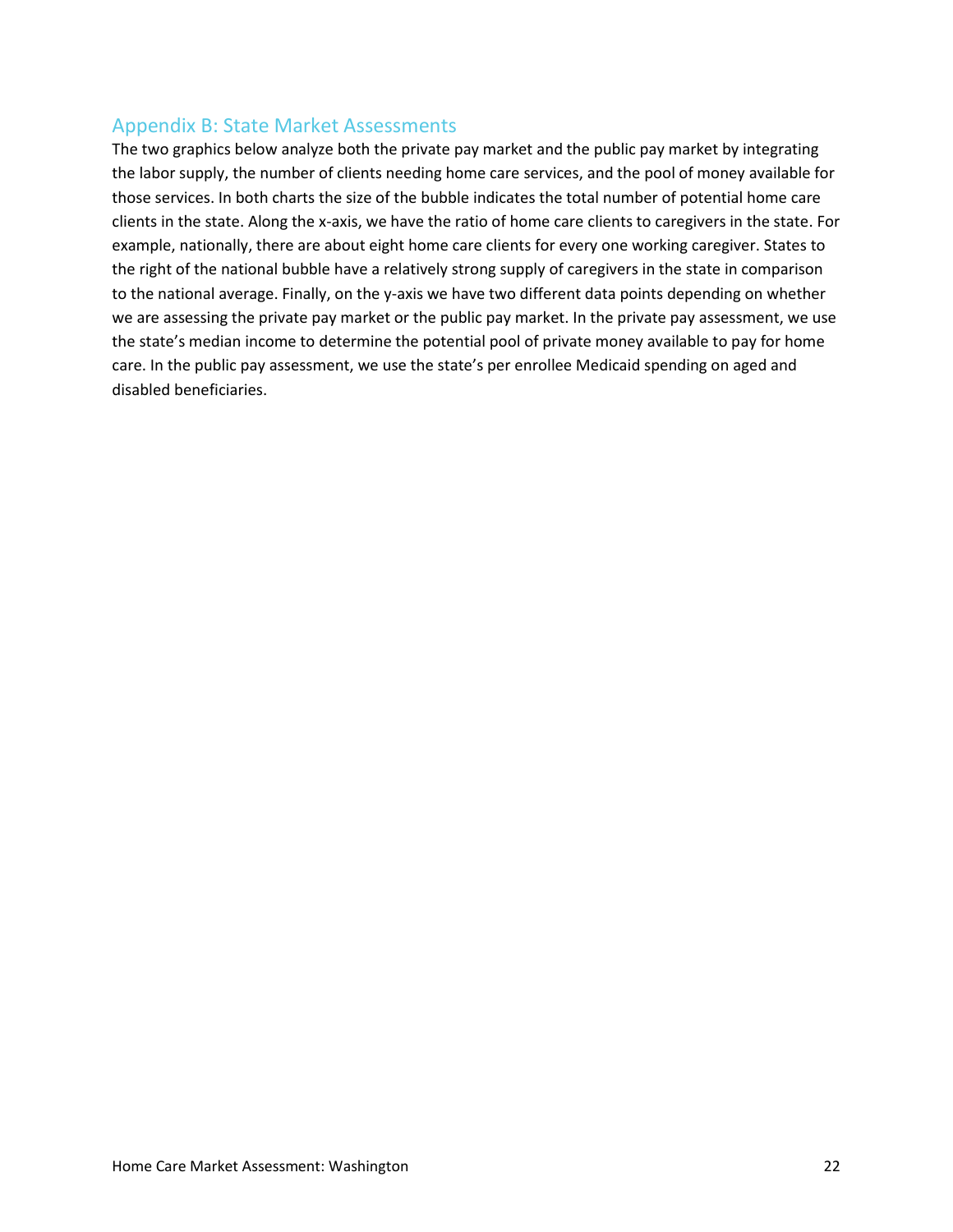### <span id="page-23-0"></span>Appendix B: State Market Assessments

The two graphics below analyze both the private pay market and the public pay market by integrating the labor supply, the number of clients needing home care services, and the pool of money available for those services. In both charts the size of the bubble indicates the total number of potential home care clients in the state. Along the x-axis, we have the ratio of home care clients to caregivers in the state. For example, nationally, there are about eight home care clients for every one working caregiver. States to the right of the national bubble have a relatively strong supply of caregivers in the state in comparison to the national average. Finally, on the y-axis we have two different data points depending on whether we are assessing the private pay market or the public pay market. In the private pay assessment, we use the state's median income to determine the potential pool of private money available to pay for home care. In the public pay assessment, we use the state's per enrollee Medicaid spending on aged and disabled beneficiaries.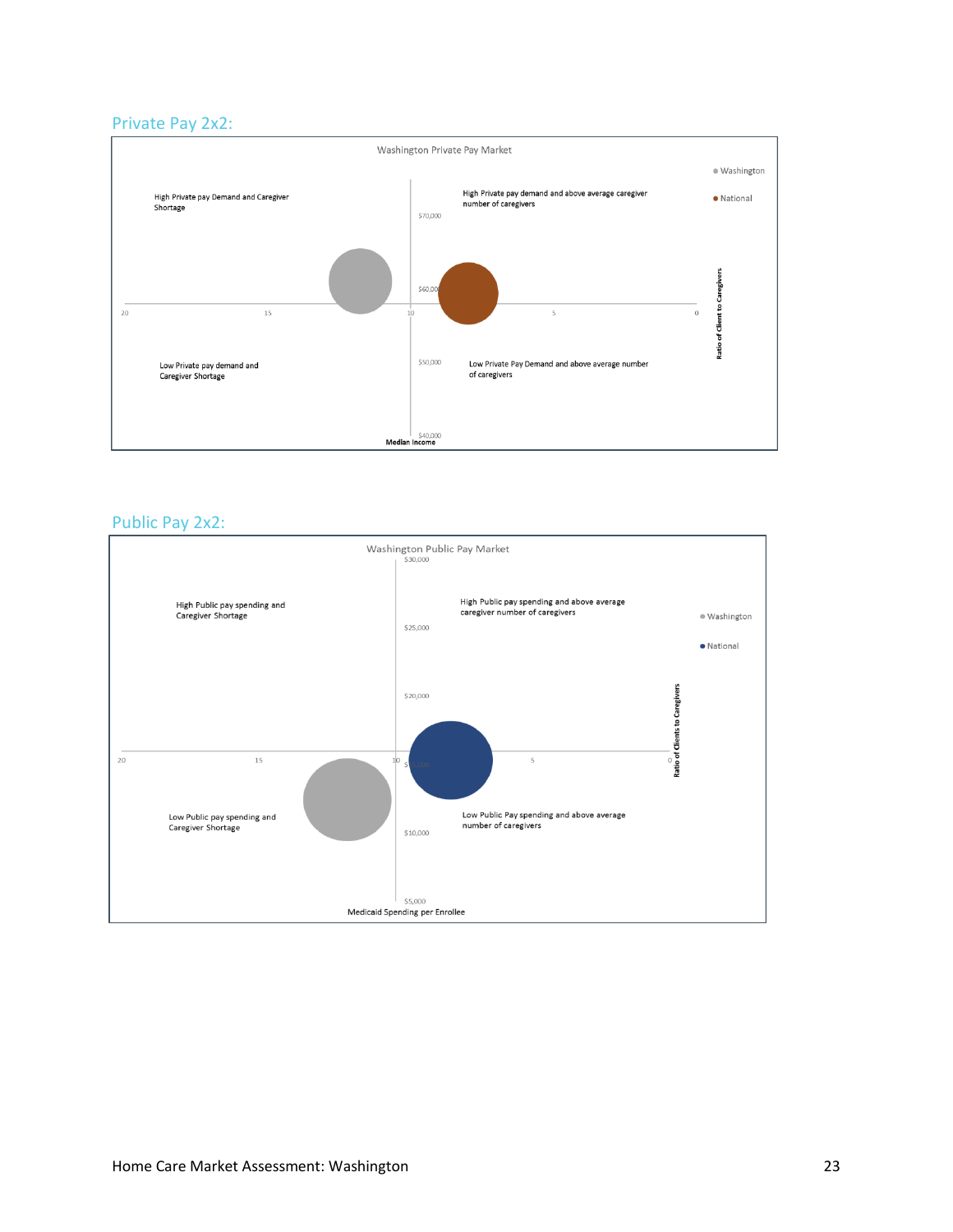### <span id="page-24-0"></span>Private Pay 2x2:



<span id="page-24-1"></span>Public Pay 2x2:

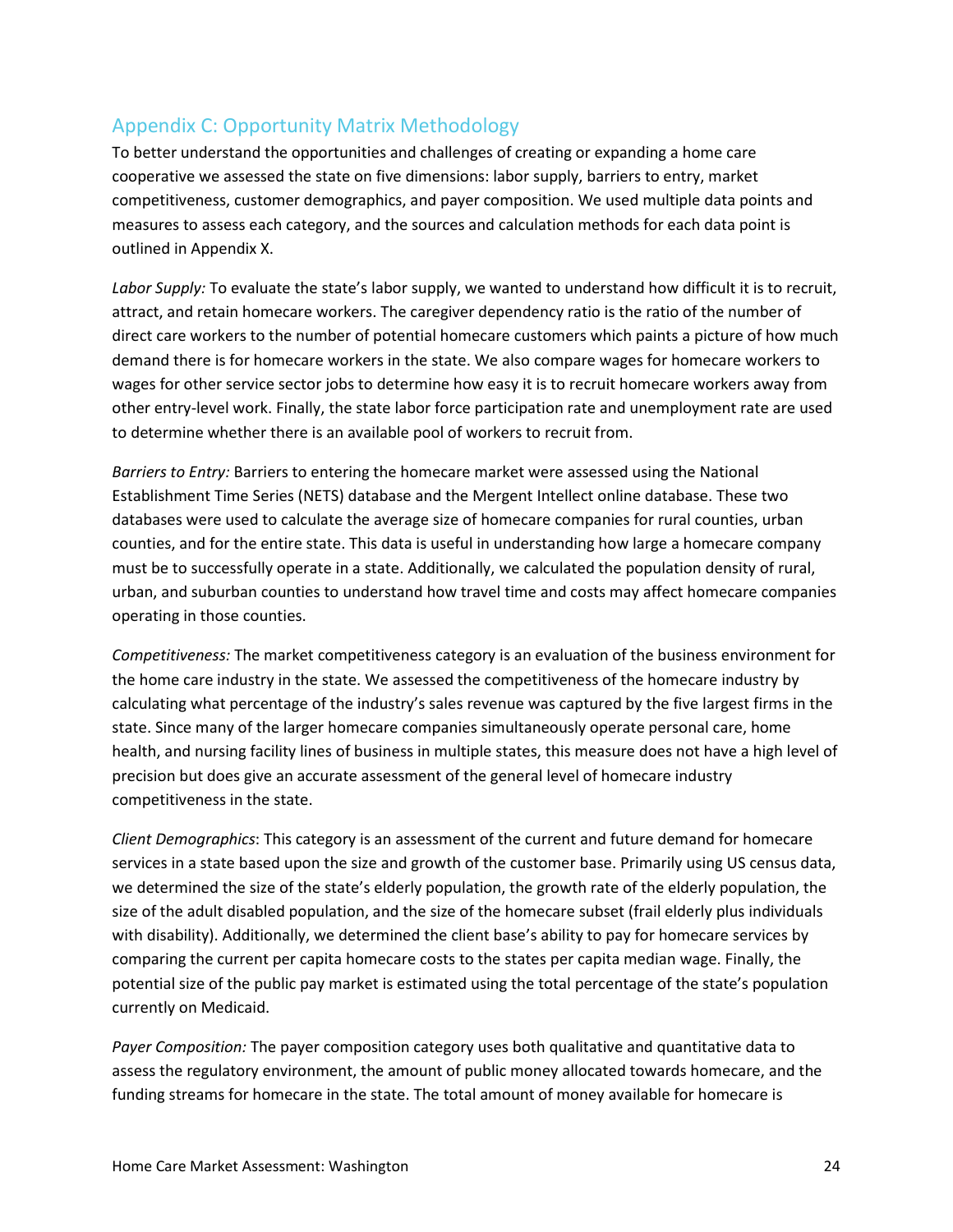## <span id="page-25-0"></span>Appendix C: Opportunity Matrix Methodology

To better understand the opportunities and challenges of creating or expanding a home care cooperative we assessed the state on five dimensions: labor supply, barriers to entry, market competitiveness, customer demographics, and payer composition. We used multiple data points and measures to assess each category, and the sources and calculation methods for each data point is outlined in Appendix X.

*Labor Supply:* To evaluate the state's labor supply, we wanted to understand how difficult it is to recruit, attract, and retain homecare workers. The caregiver dependency ratio is the ratio of the number of direct care workers to the number of potential homecare customers which paints a picture of how much demand there is for homecare workers in the state. We also compare wages for homecare workers to wages for other service sector jobs to determine how easy it is to recruit homecare workers away from other entry-level work. Finally, the state labor force participation rate and unemployment rate are used to determine whether there is an available pool of workers to recruit from.

*Barriers to Entry:* Barriers to entering the homecare market were assessed using the National Establishment Time Series (NETS) database and the Mergent Intellect online database. These two databases were used to calculate the average size of homecare companies for rural counties, urban counties, and for the entire state. This data is useful in understanding how large a homecare company must be to successfully operate in a state. Additionally, we calculated the population density of rural, urban, and suburban counties to understand how travel time and costs may affect homecare companies operating in those counties.

*Competitiveness:* The market competitiveness category is an evaluation of the business environment for the home care industry in the state. We assessed the competitiveness of the homecare industry by calculating what percentage of the industry's sales revenue was captured by the five largest firms in the state. Since many of the larger homecare companies simultaneously operate personal care, home health, and nursing facility lines of business in multiple states, this measure does not have a high level of precision but does give an accurate assessment of the general level of homecare industry competitiveness in the state.

*Client Demographics*: This category is an assessment of the current and future demand for homecare services in a state based upon the size and growth of the customer base. Primarily using US census data, we determined the size of the state's elderly population, the growth rate of the elderly population, the size of the adult disabled population, and the size of the homecare subset (frail elderly plus individuals with disability). Additionally, we determined the client base's ability to pay for homecare services by comparing the current per capita homecare costs to the states per capita median wage. Finally, the potential size of the public pay market is estimated using the total percentage of the state's population currently on Medicaid.

*Payer Composition:* The payer composition category uses both qualitative and quantitative data to assess the regulatory environment, the amount of public money allocated towards homecare, and the funding streams for homecare in the state. The total amount of money available for homecare is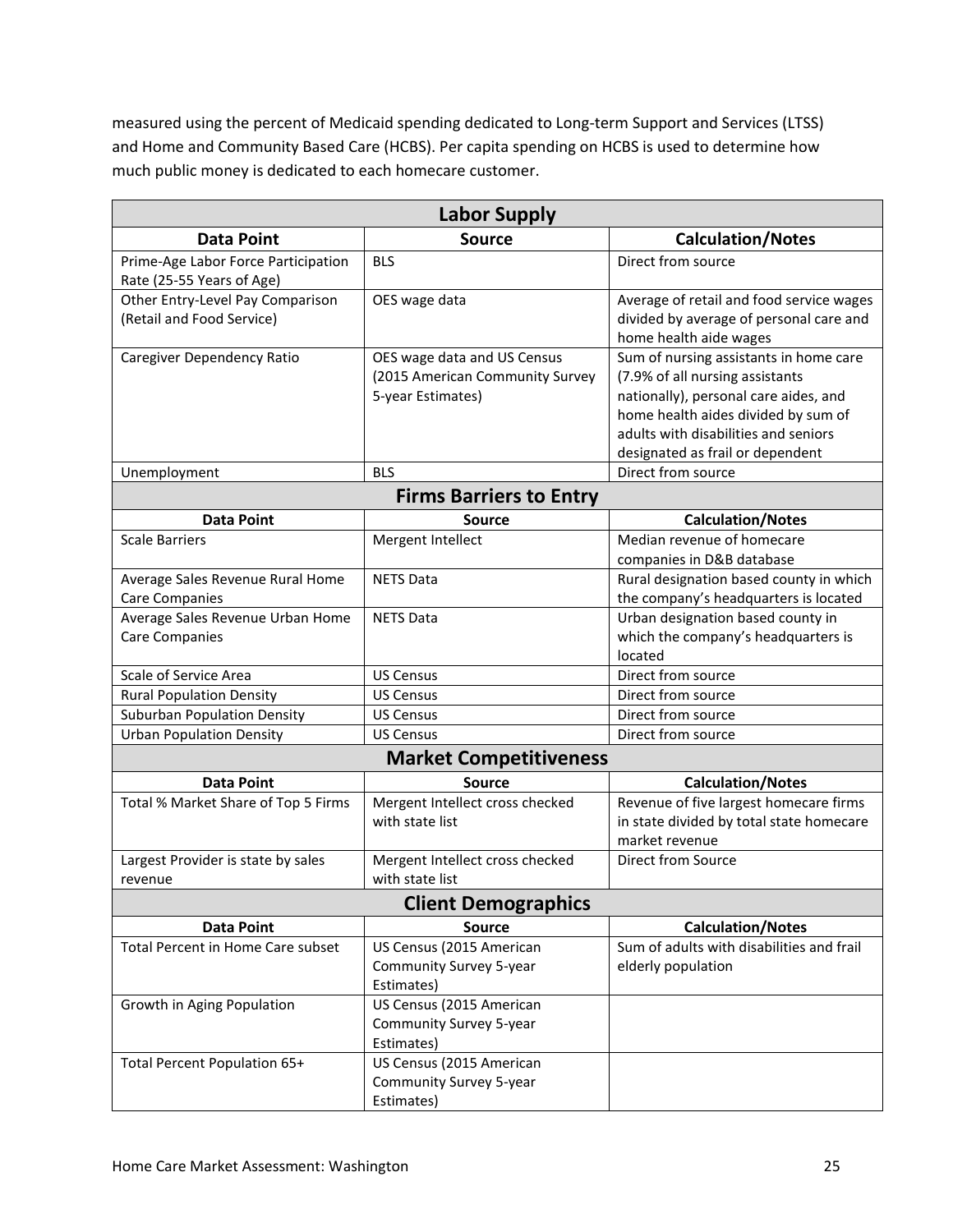measured using the percent of Medicaid spending dedicated to Long-term Support and Services (LTSS) and Home and Community Based Care (HCBS). Per capita spending on HCBS is used to determine how much public money is dedicated to each homecare customer.

| <b>Labor Supply</b>                                              |                                                                                     |                                                                                                                                                                                                                                       |  |  |
|------------------------------------------------------------------|-------------------------------------------------------------------------------------|---------------------------------------------------------------------------------------------------------------------------------------------------------------------------------------------------------------------------------------|--|--|
| <b>Data Point</b>                                                | <b>Source</b>                                                                       | <b>Calculation/Notes</b>                                                                                                                                                                                                              |  |  |
| Prime-Age Labor Force Participation<br>Rate (25-55 Years of Age) | <b>BLS</b>                                                                          | Direct from source                                                                                                                                                                                                                    |  |  |
| Other Entry-Level Pay Comparison<br>(Retail and Food Service)    | OES wage data                                                                       | Average of retail and food service wages<br>divided by average of personal care and<br>home health aide wages                                                                                                                         |  |  |
| Caregiver Dependency Ratio                                       | OES wage data and US Census<br>(2015 American Community Survey<br>5-year Estimates) | Sum of nursing assistants in home care<br>(7.9% of all nursing assistants<br>nationally), personal care aides, and<br>home health aides divided by sum of<br>adults with disabilities and seniors<br>designated as frail or dependent |  |  |
| Unemployment                                                     | <b>BLS</b>                                                                          | Direct from source                                                                                                                                                                                                                    |  |  |
|                                                                  | <b>Firms Barriers to Entry</b>                                                      |                                                                                                                                                                                                                                       |  |  |
| <b>Data Point</b><br><b>Scale Barriers</b>                       | <b>Source</b><br>Mergent Intellect                                                  | <b>Calculation/Notes</b><br>Median revenue of homecare<br>companies in D&B database                                                                                                                                                   |  |  |
| Average Sales Revenue Rural Home<br><b>Care Companies</b>        | <b>NETS Data</b>                                                                    | Rural designation based county in which<br>the company's headquarters is located                                                                                                                                                      |  |  |
| Average Sales Revenue Urban Home<br><b>Care Companies</b>        | <b>NETS Data</b>                                                                    | Urban designation based county in<br>which the company's headquarters is<br>located                                                                                                                                                   |  |  |
| Scale of Service Area                                            | <b>US Census</b>                                                                    | Direct from source                                                                                                                                                                                                                    |  |  |
| <b>Rural Population Density</b>                                  | <b>US Census</b>                                                                    | Direct from source                                                                                                                                                                                                                    |  |  |
| <b>Suburban Population Density</b>                               | <b>US Census</b>                                                                    | Direct from source                                                                                                                                                                                                                    |  |  |
| <b>Urban Population Density</b>                                  | <b>US Census</b>                                                                    | Direct from source                                                                                                                                                                                                                    |  |  |
|                                                                  | <b>Market Competitiveness</b>                                                       |                                                                                                                                                                                                                                       |  |  |
| <b>Data Point</b>                                                | <b>Source</b>                                                                       | <b>Calculation/Notes</b>                                                                                                                                                                                                              |  |  |
| Total % Market Share of Top 5 Firms                              | Mergent Intellect cross checked<br>with state list                                  | Revenue of five largest homecare firms<br>in state divided by total state homecare<br>market revenue                                                                                                                                  |  |  |
| Largest Provider is state by sales<br>revenue                    | Mergent Intellect cross checked<br>with state list                                  | Direct from Source                                                                                                                                                                                                                    |  |  |
| <b>Client Demographics</b>                                       |                                                                                     |                                                                                                                                                                                                                                       |  |  |
| <b>Data Point</b>                                                | <b>Source</b>                                                                       | <b>Calculation/Notes</b>                                                                                                                                                                                                              |  |  |
| Total Percent in Home Care subset                                | US Census (2015 American<br>Community Survey 5-year<br>Estimates)                   | Sum of adults with disabilities and frail<br>elderly population                                                                                                                                                                       |  |  |
| Growth in Aging Population                                       | US Census (2015 American<br>Community Survey 5-year<br>Estimates)                   |                                                                                                                                                                                                                                       |  |  |
| Total Percent Population 65+                                     | US Census (2015 American<br>Community Survey 5-year<br>Estimates)                   |                                                                                                                                                                                                                                       |  |  |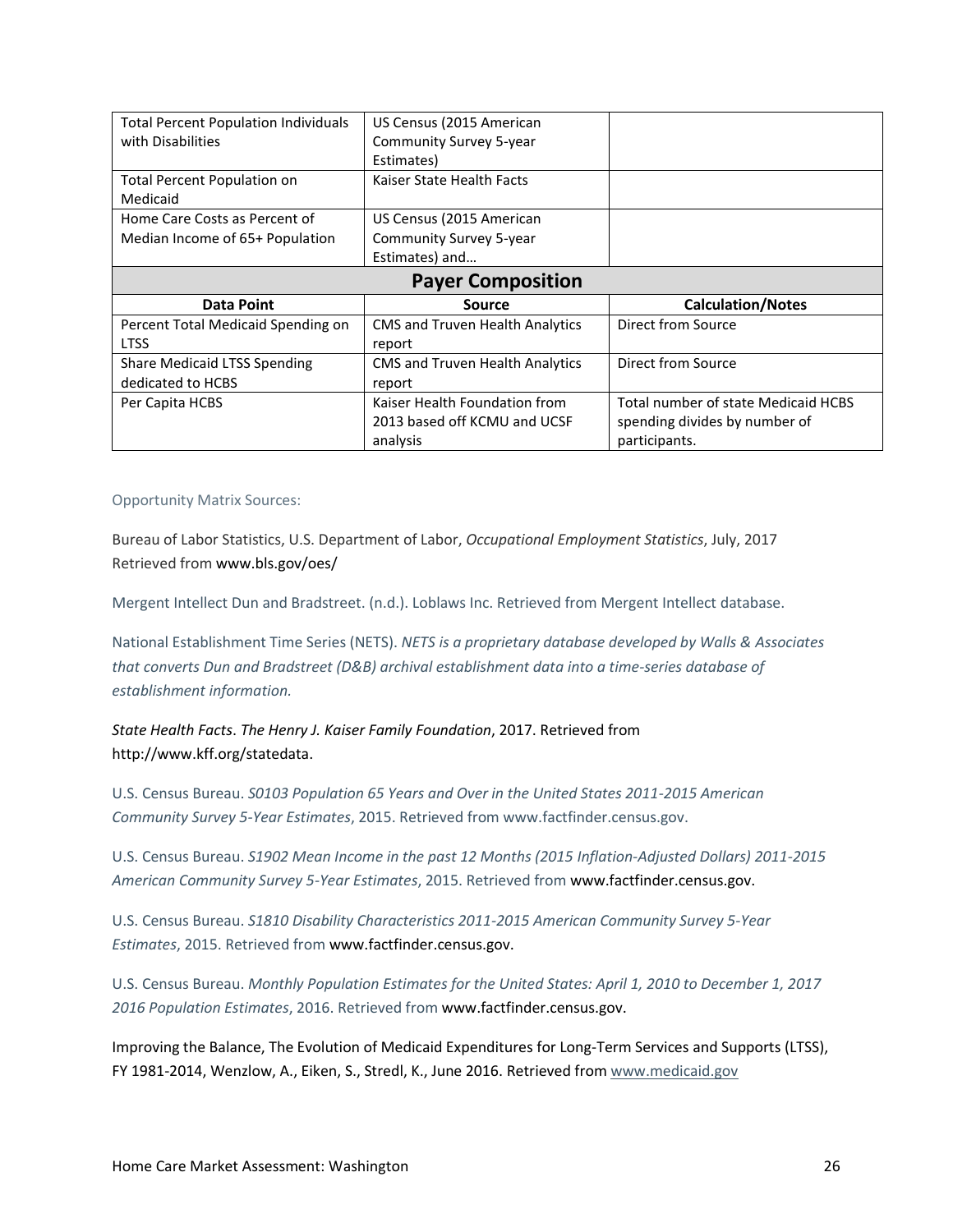| <b>Total Percent Population Individuals</b> | US Census (2015 American               |                                     |  |  |
|---------------------------------------------|----------------------------------------|-------------------------------------|--|--|
| with Disabilities                           | Community Survey 5-year                |                                     |  |  |
|                                             | Estimates)                             |                                     |  |  |
| Total Percent Population on                 | Kaiser State Health Facts              |                                     |  |  |
| Medicaid                                    |                                        |                                     |  |  |
| Home Care Costs as Percent of               | US Census (2015 American               |                                     |  |  |
| Median Income of 65+ Population             | Community Survey 5-year                |                                     |  |  |
|                                             | Estimates) and                         |                                     |  |  |
| <b>Payer Composition</b>                    |                                        |                                     |  |  |
| <b>Data Point</b>                           | <b>Source</b>                          | <b>Calculation/Notes</b>            |  |  |
| Percent Total Medicaid Spending on          | <b>CMS and Truven Health Analytics</b> | Direct from Source                  |  |  |
| <b>LTSS</b>                                 | report                                 |                                     |  |  |
| <b>Share Medicaid LTSS Spending</b>         | <b>CMS and Truven Health Analytics</b> | Direct from Source                  |  |  |
| dedicated to HCBS                           | report                                 |                                     |  |  |
| Per Capita HCBS                             | Kaiser Health Foundation from          | Total number of state Medicaid HCBS |  |  |
|                                             | 2013 based off KCMU and UCSF           | spending divides by number of       |  |  |
|                                             | analysis                               | participants.                       |  |  |

Opportunity Matrix Sources:

Bureau of Labor Statistics, U.S. Department of Labor, *Occupational Employment Statistics*, July, 2017 Retrieved from www.bls.gov/oes/

Mergent Intellect Dun and Bradstreet. (n.d.). Loblaws Inc. Retrieved from Mergent Intellect database.

National Establishment Time Series (NETS). *NETS is a proprietary database developed by Walls & Associates that converts Dun and Bradstreet (D&B) archival establishment data into a time-series database of establishment information.*

*State Health Facts*. *The Henry J. Kaiser Family Foundation*, 2017. Retrieved from http://www.kff.org/statedata.

U.S. Census Bureau. *S0103 Population 65 Years and Over in the United States 2011-2015 American Community Survey 5-Year Estimates*, 2015. Retrieved from www.factfinder.census.gov.

U.S. Census Bureau. *S1902 Mean Income in the past 12 Months (2015 Inflation-Adjusted Dollars) 2011-2015 American Community Survey 5-Year Estimates*, 2015. Retrieved from www.factfinder.census.gov.

U.S. Census Bureau. *S1810 Disability Characteristics 2011-2015 American Community Survey 5-Year Estimates*, 2015. Retrieved from www.factfinder.census.gov.

U.S. Census Bureau. *Monthly Population Estimates for the United States: April 1, 2010 to December 1, 2017 2016 Population Estimates*, 2016. Retrieved from www.factfinder.census.gov.

Improving the Balance, The Evolution of Medicaid Expenditures for Long-Term Services and Supports (LTSS), FY 1981-2014, Wenzlow, A., Eiken, S., Stredl, K., June 2016. Retrieved fro[m www.medicaid.gov](http://www.medicaid.gov/)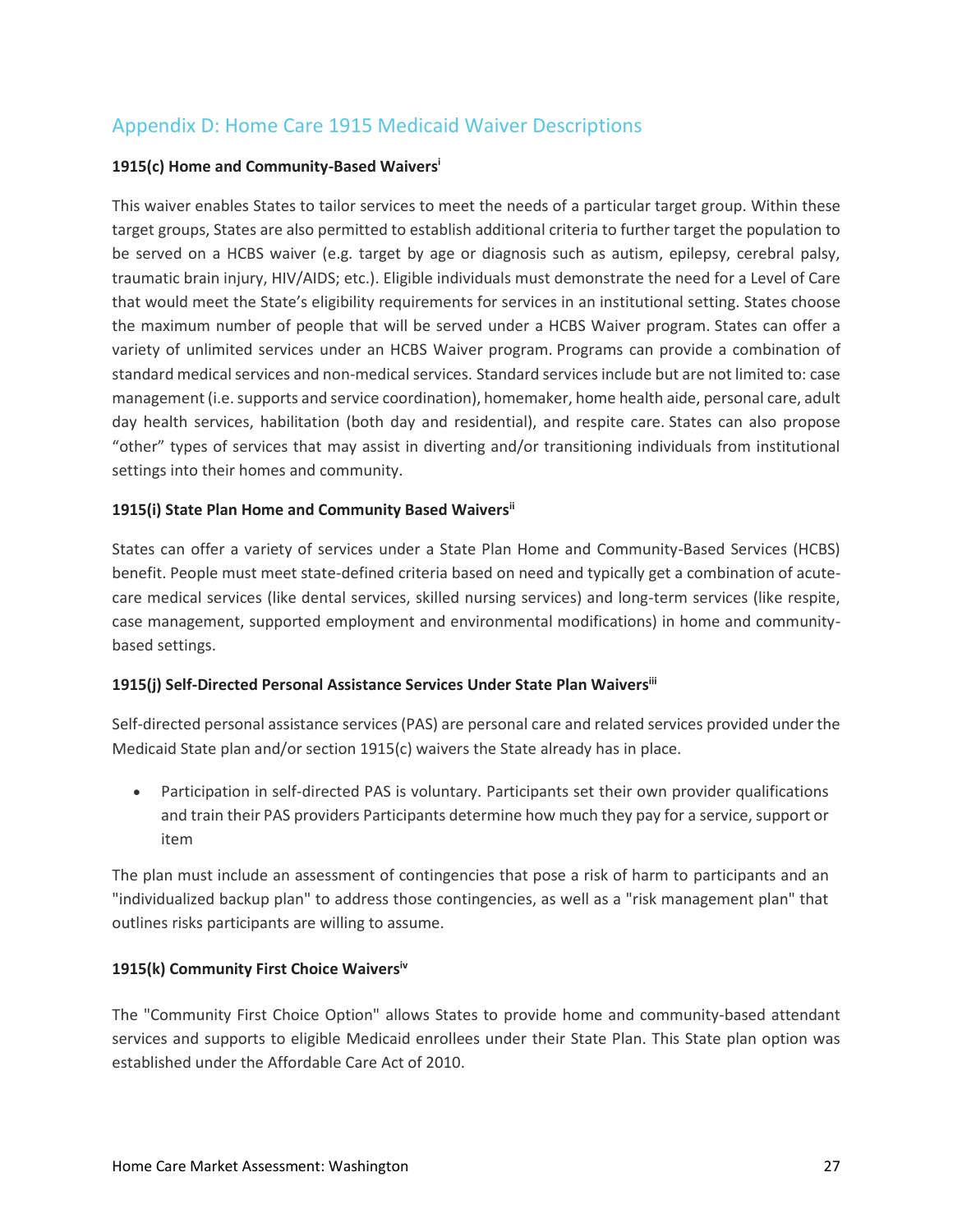## <span id="page-28-0"></span>Appendix D: Home Care 1915 Medicaid Waiver Descriptions

#### **1915(c) Home and Community-Based Waivers<sup>i</sup>**

This waiver enables States to tailor services to meet the needs of a particular target group. Within these target groups, States are also permitted to establish additional criteria to further target the population to be served on a HCBS waiver (e.g. target by age or diagnosis such as autism, epilepsy, cerebral palsy, traumatic brain injury, HIV/AIDS; etc.). Eligible individuals must demonstrate the need for a Level of Care that would meet the State's eligibility requirements for services in an institutional setting. States choose the maximum number of people that will be served under a HCBS Waiver program. States can offer a variety of unlimited services under an HCBS Waiver program. Programs can provide a combination of standard medical services and non-medical services. Standard services include but are not limited to: case management (i.e. supports and service coordination), homemaker, home health aide, personal care, adult day health services, habilitation (both day and residential), and respite care. States can also propose "other" types of services that may assist in diverting and/or transitioning individuals from institutional settings into their homes and community.

#### **1915(i) State Plan Home and Community Based Waiversii**

States can offer a variety of services under a State Plan Home and Community-Based Services (HCBS) benefit. People must meet state-defined criteria based on need and typically get a combination of acutecare medical services (like dental services, skilled nursing services) and long-term services (like respite, case management, supported employment and environmental modifications) in home and communitybased settings.

#### **1915(j) Self-Directed Personal Assistance Services Under State Plan Waiversiii**

Self-directed personal assistance services (PAS) are personal care and related services provided under the Medicaid State plan and/or section 1915(c) waivers the State already has in place.

• Participation in self-directed PAS is voluntary. Participants set their own provider qualifications and train their PAS providers Participants determine how much they pay for a service, support or item

The plan must include an assessment of contingencies that pose a risk of harm to participants and an "individualized backup plan" to address those contingencies, as well as a "risk management plan" that outlines risks participants are willing to assume.

#### **1915(k) Community First Choice Waiversiv**

The "Community First Choice Option" allows States to provide home and community-based attendant services and supports to eligible Medicaid enrollees under their State Plan. This State plan option was established under the Affordable Care Act of 2010.